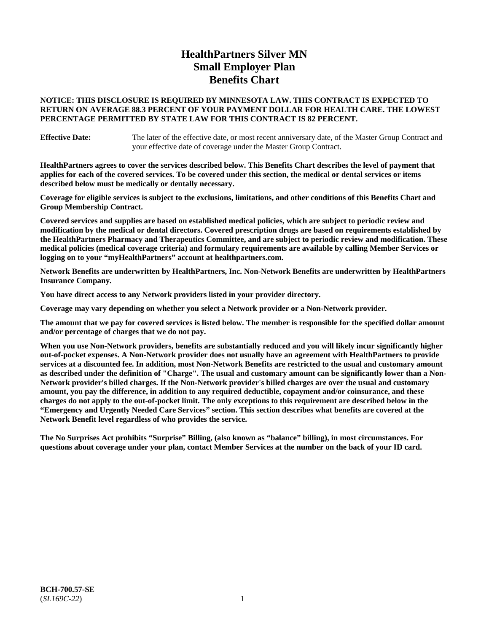# **HealthPartners Silver MN Small Employer Plan Benefits Chart**

### **NOTICE: THIS DISCLOSURE IS REQUIRED BY MINNESOTA LAW. THIS CONTRACT IS EXPECTED TO RETURN ON AVERAGE 88.3 PERCENT OF YOUR PAYMENT DOLLAR FOR HEALTH CARE. THE LOWEST PERCENTAGE PERMITTED BY STATE LAW FOR THIS CONTRACT IS 82 PERCENT.**

**Effective Date:** The later of the effective date, or most recent anniversary date, of the Master Group Contract and your effective date of coverage under the Master Group Contract.

**HealthPartners agrees to cover the services described below. This Benefits Chart describes the level of payment that applies for each of the covered services. To be covered under this section, the medical or dental services or items described below must be medically or dentally necessary.**

**Coverage for eligible services is subject to the exclusions, limitations, and other conditions of this Benefits Chart and Group Membership Contract.**

**Covered services and supplies are based on established medical policies, which are subject to periodic review and modification by the medical or dental directors. Covered prescription drugs are based on requirements established by the HealthPartners Pharmacy and Therapeutics Committee, and are subject to periodic review and modification. These medical policies (medical coverage criteria) and formulary requirements are available by calling Member Services or logging on to your "myHealthPartners" account at [healthpartners.com.](https://www.healthpartners.com/hp/index.html)**

**Network Benefits are underwritten by HealthPartners, Inc. Non-Network Benefits are underwritten by HealthPartners Insurance Company.** 

**You have direct access to any Network providers listed in your provider directory.**

**Coverage may vary depending on whether you select a Network provider or a Non-Network provider.**

**The amount that we pay for covered services is listed below. The member is responsible for the specified dollar amount and/or percentage of charges that we do not pay.**

**When you use Non-Network providers, benefits are substantially reduced and you will likely incur significantly higher out-of-pocket expenses. A Non-Network provider does not usually have an agreement with HealthPartners to provide services at a discounted fee. In addition, most Non-Network Benefits are restricted to the usual and customary amount as described under the definition of "Charge". The usual and customary amount can be significantly lower than a Non-Network provider's billed charges. If the Non-Network provider's billed charges are over the usual and customary amount, you pay the difference, in addition to any required deductible, copayment and/or coinsurance, and these charges do not apply to the out-of-pocket limit. The only exceptions to this requirement are described below in the "Emergency and Urgently Needed Care Services" section. This section describes what benefits are covered at the Network Benefit level regardless of who provides the service.**

**The No Surprises Act prohibits "Surprise" Billing, (also known as "balance" billing), in most circumstances. For questions about coverage under your plan, contact Member Services at the number on the back of your ID card.**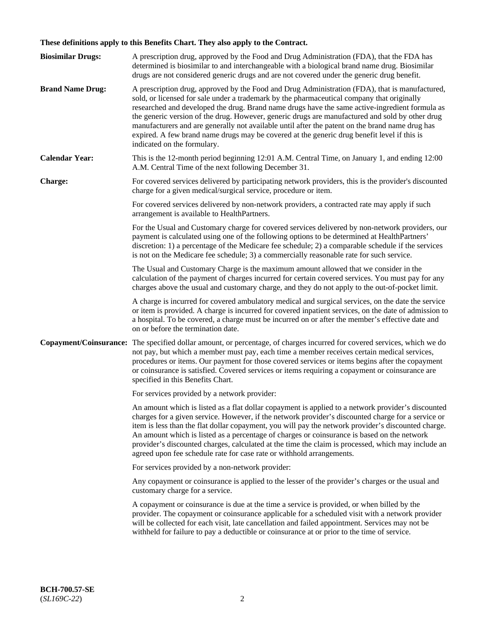# **These definitions apply to this Benefits Chart. They also apply to the Contract.**

| <b>Biosimilar Drugs:</b> | A prescription drug, approved by the Food and Drug Administration (FDA), that the FDA has<br>determined is biosimilar to and interchangeable with a biological brand name drug. Biosimilar<br>drugs are not considered generic drugs and are not covered under the generic drug benefit.                                                                                                                                                                                                                                                                                                                                           |
|--------------------------|------------------------------------------------------------------------------------------------------------------------------------------------------------------------------------------------------------------------------------------------------------------------------------------------------------------------------------------------------------------------------------------------------------------------------------------------------------------------------------------------------------------------------------------------------------------------------------------------------------------------------------|
| <b>Brand Name Drug:</b>  | A prescription drug, approved by the Food and Drug Administration (FDA), that is manufactured,<br>sold, or licensed for sale under a trademark by the pharmaceutical company that originally<br>researched and developed the drug. Brand name drugs have the same active-ingredient formula as<br>the generic version of the drug. However, generic drugs are manufactured and sold by other drug<br>manufacturers and are generally not available until after the patent on the brand name drug has<br>expired. A few brand name drugs may be covered at the generic drug benefit level if this is<br>indicated on the formulary. |
| <b>Calendar Year:</b>    | This is the 12-month period beginning 12:01 A.M. Central Time, on January 1, and ending 12:00<br>A.M. Central Time of the next following December 31.                                                                                                                                                                                                                                                                                                                                                                                                                                                                              |
| <b>Charge:</b>           | For covered services delivered by participating network providers, this is the provider's discounted<br>charge for a given medical/surgical service, procedure or item.                                                                                                                                                                                                                                                                                                                                                                                                                                                            |
|                          | For covered services delivered by non-network providers, a contracted rate may apply if such<br>arrangement is available to HealthPartners.                                                                                                                                                                                                                                                                                                                                                                                                                                                                                        |
|                          | For the Usual and Customary charge for covered services delivered by non-network providers, our<br>payment is calculated using one of the following options to be determined at HealthPartners'<br>discretion: 1) a percentage of the Medicare fee schedule; 2) a comparable schedule if the services<br>is not on the Medicare fee schedule; 3) a commercially reasonable rate for such service.                                                                                                                                                                                                                                  |
|                          | The Usual and Customary Charge is the maximum amount allowed that we consider in the<br>calculation of the payment of charges incurred for certain covered services. You must pay for any<br>charges above the usual and customary charge, and they do not apply to the out-of-pocket limit.                                                                                                                                                                                                                                                                                                                                       |
|                          | A charge is incurred for covered ambulatory medical and surgical services, on the date the service<br>or item is provided. A charge is incurred for covered inpatient services, on the date of admission to<br>a hospital. To be covered, a charge must be incurred on or after the member's effective date and<br>on or before the termination date.                                                                                                                                                                                                                                                                              |
| Copayment/Coinsurance:   | The specified dollar amount, or percentage, of charges incurred for covered services, which we do<br>not pay, but which a member must pay, each time a member receives certain medical services,<br>procedures or items. Our payment for those covered services or items begins after the copayment<br>or coinsurance is satisfied. Covered services or items requiring a copayment or coinsurance are<br>specified in this Benefits Chart.                                                                                                                                                                                        |
|                          | For services provided by a network provider:                                                                                                                                                                                                                                                                                                                                                                                                                                                                                                                                                                                       |
|                          | An amount which is listed as a flat dollar copayment is applied to a network provider's discounted<br>charges for a given service. However, if the network provider's discounted charge for a service or<br>item is less than the flat dollar copayment, you will pay the network provider's discounted charge.<br>An amount which is listed as a percentage of charges or coinsurance is based on the network<br>provider's discounted charges, calculated at the time the claim is processed, which may include an<br>agreed upon fee schedule rate for case rate or withhold arrangements.                                      |
|                          | For services provided by a non-network provider:                                                                                                                                                                                                                                                                                                                                                                                                                                                                                                                                                                                   |
|                          | Any copayment or coinsurance is applied to the lesser of the provider's charges or the usual and<br>customary charge for a service.                                                                                                                                                                                                                                                                                                                                                                                                                                                                                                |
|                          | A copayment or coinsurance is due at the time a service is provided, or when billed by the<br>provider. The copayment or coinsurance applicable for a scheduled visit with a network provider<br>will be collected for each visit, late cancellation and failed appointment. Services may not be<br>withheld for failure to pay a deductible or coinsurance at or prior to the time of service.                                                                                                                                                                                                                                    |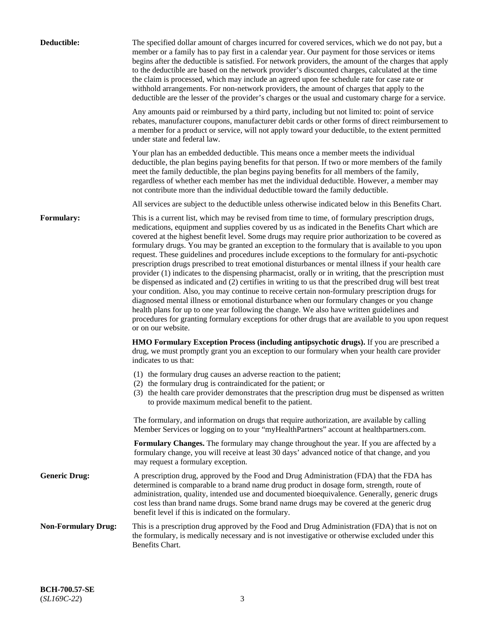| Deductible:                | The specified dollar amount of charges incurred for covered services, which we do not pay, but a<br>member or a family has to pay first in a calendar year. Our payment for those services or items<br>begins after the deductible is satisfied. For network providers, the amount of the charges that apply<br>to the deductible are based on the network provider's discounted charges, calculated at the time<br>the claim is processed, which may include an agreed upon fee schedule rate for case rate or<br>withhold arrangements. For non-network providers, the amount of charges that apply to the<br>deductible are the lesser of the provider's charges or the usual and customary charge for a service.                                                                                                                                                                                                                                                                                                                                                                                                                                                                                                                                             |
|----------------------------|------------------------------------------------------------------------------------------------------------------------------------------------------------------------------------------------------------------------------------------------------------------------------------------------------------------------------------------------------------------------------------------------------------------------------------------------------------------------------------------------------------------------------------------------------------------------------------------------------------------------------------------------------------------------------------------------------------------------------------------------------------------------------------------------------------------------------------------------------------------------------------------------------------------------------------------------------------------------------------------------------------------------------------------------------------------------------------------------------------------------------------------------------------------------------------------------------------------------------------------------------------------|
|                            | Any amounts paid or reimbursed by a third party, including but not limited to: point of service<br>rebates, manufacturer coupons, manufacturer debit cards or other forms of direct reimbursement to<br>a member for a product or service, will not apply toward your deductible, to the extent permitted<br>under state and federal law.                                                                                                                                                                                                                                                                                                                                                                                                                                                                                                                                                                                                                                                                                                                                                                                                                                                                                                                        |
|                            | Your plan has an embedded deductible. This means once a member meets the individual<br>deductible, the plan begins paying benefits for that person. If two or more members of the family<br>meet the family deductible, the plan begins paying benefits for all members of the family,<br>regardless of whether each member has met the individual deductible. However, a member may<br>not contribute more than the individual deductible toward the family deductible.                                                                                                                                                                                                                                                                                                                                                                                                                                                                                                                                                                                                                                                                                                                                                                                         |
|                            | All services are subject to the deductible unless otherwise indicated below in this Benefits Chart.                                                                                                                                                                                                                                                                                                                                                                                                                                                                                                                                                                                                                                                                                                                                                                                                                                                                                                                                                                                                                                                                                                                                                              |
| Formulary:                 | This is a current list, which may be revised from time to time, of formulary prescription drugs,<br>medications, equipment and supplies covered by us as indicated in the Benefits Chart which are<br>covered at the highest benefit level. Some drugs may require prior authorization to be covered as<br>formulary drugs. You may be granted an exception to the formulary that is available to you upon<br>request. These guidelines and procedures include exceptions to the formulary for anti-psychotic<br>prescription drugs prescribed to treat emotional disturbances or mental illness if your health care<br>provider (1) indicates to the dispensing pharmacist, orally or in writing, that the prescription must<br>be dispensed as indicated and (2) certifies in writing to us that the prescribed drug will best treat<br>your condition. Also, you may continue to receive certain non-formulary prescription drugs for<br>diagnosed mental illness or emotional disturbance when our formulary changes or you change<br>health plans for up to one year following the change. We also have written guidelines and<br>procedures for granting formulary exceptions for other drugs that are available to you upon request<br>or on our website. |
|                            | HMO Formulary Exception Process (including antipsychotic drugs). If you are prescribed a<br>drug, we must promptly grant you an exception to our formulary when your health care provider<br>indicates to us that:                                                                                                                                                                                                                                                                                                                                                                                                                                                                                                                                                                                                                                                                                                                                                                                                                                                                                                                                                                                                                                               |
|                            | (1) the formulary drug causes an adverse reaction to the patient;<br>(2) the formulary drug is contraindicated for the patient; or<br>(3) the health care provider demonstrates that the prescription drug must be dispensed as written<br>to provide maximum medical benefit to the patient.                                                                                                                                                                                                                                                                                                                                                                                                                                                                                                                                                                                                                                                                                                                                                                                                                                                                                                                                                                    |
|                            | The formulary, and information on drugs that require authorization, are available by calling<br>Member Services or logging on to your "myHealthPartners" account at healthpartners.com.                                                                                                                                                                                                                                                                                                                                                                                                                                                                                                                                                                                                                                                                                                                                                                                                                                                                                                                                                                                                                                                                          |
|                            | Formulary Changes. The formulary may change throughout the year. If you are affected by a<br>formulary change, you will receive at least 30 days' advanced notice of that change, and you<br>may request a formulary exception.                                                                                                                                                                                                                                                                                                                                                                                                                                                                                                                                                                                                                                                                                                                                                                                                                                                                                                                                                                                                                                  |
| <b>Generic Drug:</b>       | A prescription drug, approved by the Food and Drug Administration (FDA) that the FDA has<br>determined is comparable to a brand name drug product in dosage form, strength, route of<br>administration, quality, intended use and documented bioequivalence. Generally, generic drugs<br>cost less than brand name drugs. Some brand name drugs may be covered at the generic drug<br>benefit level if this is indicated on the formulary.                                                                                                                                                                                                                                                                                                                                                                                                                                                                                                                                                                                                                                                                                                                                                                                                                       |
| <b>Non-Formulary Drug:</b> | This is a prescription drug approved by the Food and Drug Administration (FDA) that is not on<br>the formulary, is medically necessary and is not investigative or otherwise excluded under this<br>Benefits Chart.                                                                                                                                                                                                                                                                                                                                                                                                                                                                                                                                                                                                                                                                                                                                                                                                                                                                                                                                                                                                                                              |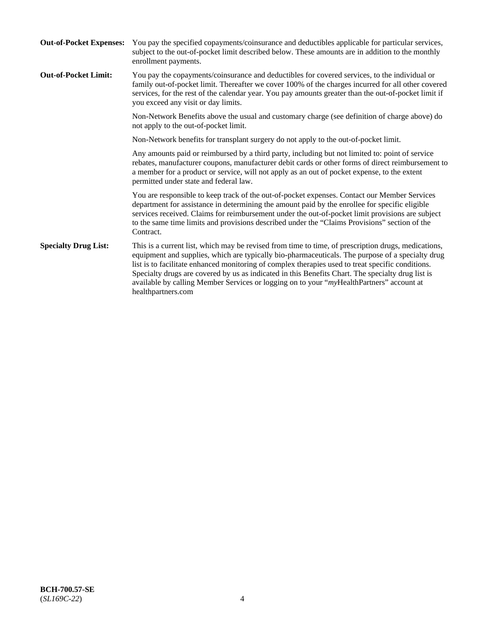| <b>Out-of-Pocket Expenses:</b> | You pay the specified copayments/coinsurance and deductibles applicable for particular services,<br>subject to the out-of-pocket limit described below. These amounts are in addition to the monthly<br>enrollment payments.                                                                                                                                                                                                                                                                                                        |
|--------------------------------|-------------------------------------------------------------------------------------------------------------------------------------------------------------------------------------------------------------------------------------------------------------------------------------------------------------------------------------------------------------------------------------------------------------------------------------------------------------------------------------------------------------------------------------|
| <b>Out-of-Pocket Limit:</b>    | You pay the copayments/coinsurance and deductibles for covered services, to the individual or<br>family out-of-pocket limit. Thereafter we cover 100% of the charges incurred for all other covered<br>services, for the rest of the calendar year. You pay amounts greater than the out-of-pocket limit if<br>you exceed any visit or day limits.                                                                                                                                                                                  |
|                                | Non-Network Benefits above the usual and customary charge (see definition of charge above) do<br>not apply to the out-of-pocket limit.                                                                                                                                                                                                                                                                                                                                                                                              |
|                                | Non-Network benefits for transplant surgery do not apply to the out-of-pocket limit.                                                                                                                                                                                                                                                                                                                                                                                                                                                |
|                                | Any amounts paid or reimbursed by a third party, including but not limited to: point of service<br>rebates, manufacturer coupons, manufacturer debit cards or other forms of direct reimbursement to<br>a member for a product or service, will not apply as an out of pocket expense, to the extent<br>permitted under state and federal law.                                                                                                                                                                                      |
|                                | You are responsible to keep track of the out-of-pocket expenses. Contact our Member Services<br>department for assistance in determining the amount paid by the enrollee for specific eligible<br>services received. Claims for reimbursement under the out-of-pocket limit provisions are subject<br>to the same time limits and provisions described under the "Claims Provisions" section of the<br>Contract.                                                                                                                    |
| <b>Specialty Drug List:</b>    | This is a current list, which may be revised from time to time, of prescription drugs, medications,<br>equipment and supplies, which are typically bio-pharmaceuticals. The purpose of a specialty drug<br>list is to facilitate enhanced monitoring of complex therapies used to treat specific conditions.<br>Specialty drugs are covered by us as indicated in this Benefits Chart. The specialty drug list is<br>available by calling Member Services or logging on to your "myHealthPartners" account at<br>healthpartners.com |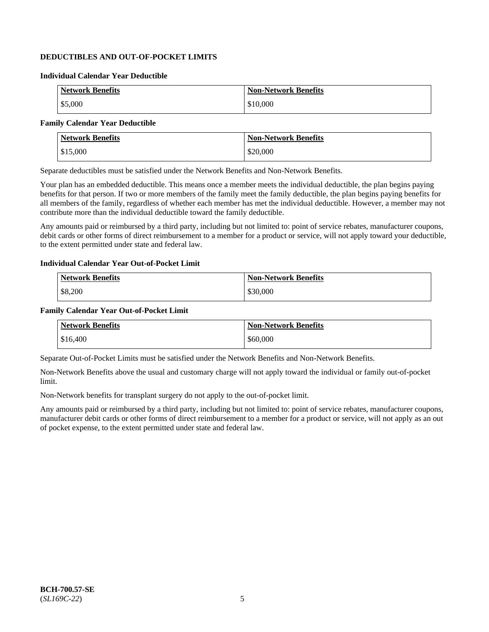## **DEDUCTIBLES AND OUT-OF-POCKET LIMITS**

### **Individual Calendar Year Deductible**

| <b>Network Benefits</b> | <b>Non-Network Benefits</b> |
|-------------------------|-----------------------------|
| \$5,000                 | \$10,000                    |

### **Family Calendar Year Deductible**

| <b>Network Benefits</b> | <b>Non-Network Benefits</b> |
|-------------------------|-----------------------------|
| $\frac{1}{2}$ \$15,000  | \$20,000                    |

Separate deductibles must be satisfied under the Network Benefits and Non-Network Benefits.

Your plan has an embedded deductible. This means once a member meets the individual deductible, the plan begins paying benefits for that person. If two or more members of the family meet the family deductible, the plan begins paying benefits for all members of the family, regardless of whether each member has met the individual deductible. However, a member may not contribute more than the individual deductible toward the family deductible.

Any amounts paid or reimbursed by a third party, including but not limited to: point of service rebates, manufacturer coupons, debit cards or other forms of direct reimbursement to a member for a product or service, will not apply toward your deductible, to the extent permitted under state and federal law.

#### **Individual Calendar Year Out-of-Pocket Limit**

| <b>Network Benefits</b> | <b>Non-Network Benefits</b> |
|-------------------------|-----------------------------|
| \$8,200                 | \$30,000                    |

### **Family Calendar Year Out-of-Pocket Limit**

| <b>Network Benefits</b> | Non-Network Benefits |
|-------------------------|----------------------|
| \$16,400                | \$60,000             |

Separate Out-of-Pocket Limits must be satisfied under the Network Benefits and Non-Network Benefits.

Non-Network Benefits above the usual and customary charge will not apply toward the individual or family out-of-pocket limit.

Non-Network benefits for transplant surgery do not apply to the out-of-pocket limit.

Any amounts paid or reimbursed by a third party, including but not limited to: point of service rebates, manufacturer coupons, manufacturer debit cards or other forms of direct reimbursement to a member for a product or service, will not apply as an out of pocket expense, to the extent permitted under state and federal law.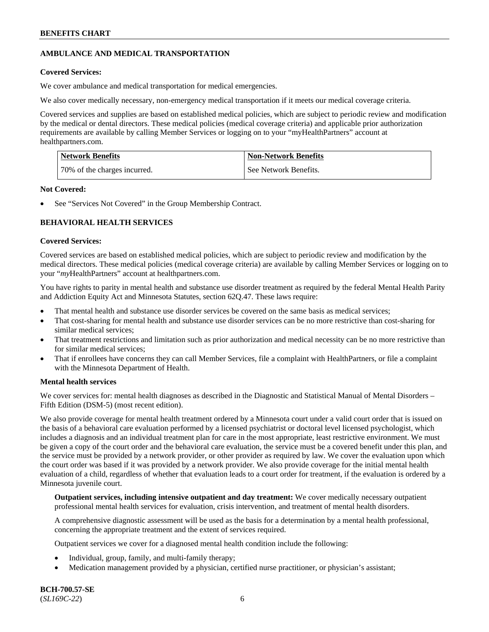## **AMBULANCE AND MEDICAL TRANSPORTATION**

### **Covered Services:**

We cover ambulance and medical transportation for medical emergencies.

We also cover medically necessary, non-emergency medical transportation if it meets our medical coverage criteria.

Covered services and supplies are based on established medical policies, which are subject to periodic review and modification by the medical or dental directors. These medical policies (medical coverage criteria) and applicable prior authorization requirements are available by calling Member Services or logging on to your "myHealthPartners" account at [healthpartners.com.](https://www.healthpartners.com/hp/index.html)

| Network Benefits             | <b>Non-Network Benefits</b> |
|------------------------------|-----------------------------|
| 70% of the charges incurred. | See Network Benefits.       |

### **Not Covered:**

See "Services Not Covered" in the Group Membership Contract.

## **BEHAVIORAL HEALTH SERVICES**

## **Covered Services:**

Covered services are based on established medical policies, which are subject to periodic review and modification by the medical directors. These medical policies (medical coverage criteria) are available by calling Member Services or logging on to your "*my*HealthPartners" account at [healthpartners.com.](http://www.healthpartners.com/)

You have rights to parity in mental health and substance use disorder treatment as required by the federal Mental Health Parity and Addiction Equity Act and Minnesota Statutes, section 62Q.47. These laws require:

- That mental health and substance use disorder services be covered on the same basis as medical services;
- That cost-sharing for mental health and substance use disorder services can be no more restrictive than cost-sharing for similar medical services;
- That treatment restrictions and limitation such as prior authorization and medical necessity can be no more restrictive than for similar medical services;
- That if enrollees have concerns they can call Member Services, file a complaint with HealthPartners, or file a complaint with the Minnesota Department of Health.

### **Mental health services**

We cover services for: mental health diagnoses as described in the Diagnostic and Statistical Manual of Mental Disorders – Fifth Edition (DSM-5) (most recent edition).

We also provide coverage for mental health treatment ordered by a Minnesota court under a valid court order that is issued on the basis of a behavioral care evaluation performed by a licensed psychiatrist or doctoral level licensed psychologist, which includes a diagnosis and an individual treatment plan for care in the most appropriate, least restrictive environment. We must be given a copy of the court order and the behavioral care evaluation, the service must be a covered benefit under this plan, and the service must be provided by a network provider, or other provider as required by law. We cover the evaluation upon which the court order was based if it was provided by a network provider. We also provide coverage for the initial mental health evaluation of a child, regardless of whether that evaluation leads to a court order for treatment, if the evaluation is ordered by a Minnesota juvenile court.

**Outpatient services, including intensive outpatient and day treatment:** We cover medically necessary outpatient professional mental health services for evaluation, crisis intervention, and treatment of mental health disorders.

A comprehensive diagnostic assessment will be used as the basis for a determination by a mental health professional, concerning the appropriate treatment and the extent of services required.

Outpatient services we cover for a diagnosed mental health condition include the following:

- Individual, group, family, and multi-family therapy;
- Medication management provided by a physician, certified nurse practitioner, or physician's assistant;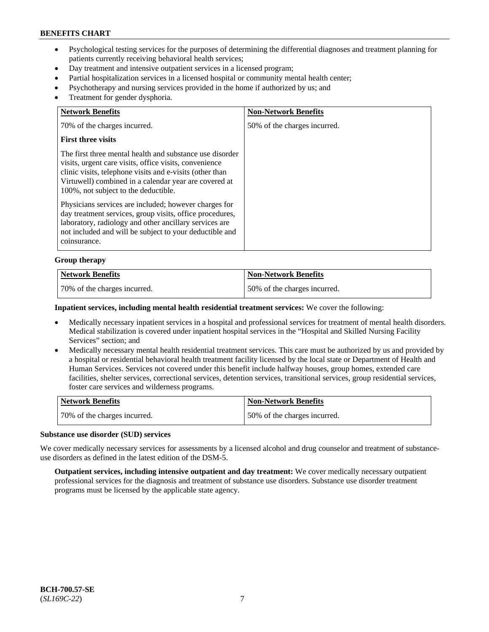- Psychological testing services for the purposes of determining the differential diagnoses and treatment planning for patients currently receiving behavioral health services;
- Day treatment and intensive outpatient services in a licensed program;
- Partial hospitalization services in a licensed hospital or community mental health center;
- Psychotherapy and nursing services provided in the home if authorized by us; and
- Treatment for gender dysphoria.

| <b>Network Benefits</b>                                                                                                                                                                                                                                                         | <b>Non-Network Benefits</b>  |
|---------------------------------------------------------------------------------------------------------------------------------------------------------------------------------------------------------------------------------------------------------------------------------|------------------------------|
| 70% of the charges incurred.                                                                                                                                                                                                                                                    | 50% of the charges incurred. |
| <b>First three visits</b>                                                                                                                                                                                                                                                       |                              |
| The first three mental health and substance use disorder<br>visits, urgent care visits, office visits, convenience<br>clinic visits, telephone visits and e-visits (other than<br>Virtuwell) combined in a calendar year are covered at<br>100%, not subject to the deductible. |                              |
| Physicians services are included; however charges for<br>day treatment services, group visits, office procedures,<br>laboratory, radiology and other ancillary services are<br>not included and will be subject to your deductible and<br>coinsurance.                          |                              |

#### **Group therapy**

| <b>Network Benefits</b>      | <b>Non-Network Benefits</b>  |
|------------------------------|------------------------------|
| 70% of the charges incurred. | 50% of the charges incurred. |

#### **Inpatient services, including mental health residential treatment services:** We cover the following:

- Medically necessary inpatient services in a hospital and professional services for treatment of mental health disorders. Medical stabilization is covered under inpatient hospital services in the "Hospital and Skilled Nursing Facility Services" section; and
- Medically necessary mental health residential treatment services. This care must be authorized by us and provided by a hospital or residential behavioral health treatment facility licensed by the local state or Department of Health and Human Services. Services not covered under this benefit include halfway houses, group homes, extended care facilities, shelter services, correctional services, detention services, transitional services, group residential services, foster care services and wilderness programs.

| Network Benefits             | Non-Network Benefits         |
|------------------------------|------------------------------|
| 70% of the charges incurred. | 50% of the charges incurred. |

#### **Substance use disorder (SUD) services**

We cover medically necessary services for assessments by a licensed alcohol and drug counselor and treatment of substanceuse disorders as defined in the latest edition of the DSM-5.

**Outpatient services, including intensive outpatient and day treatment:** We cover medically necessary outpatient professional services for the diagnosis and treatment of substance use disorders. Substance use disorder treatment programs must be licensed by the applicable state agency.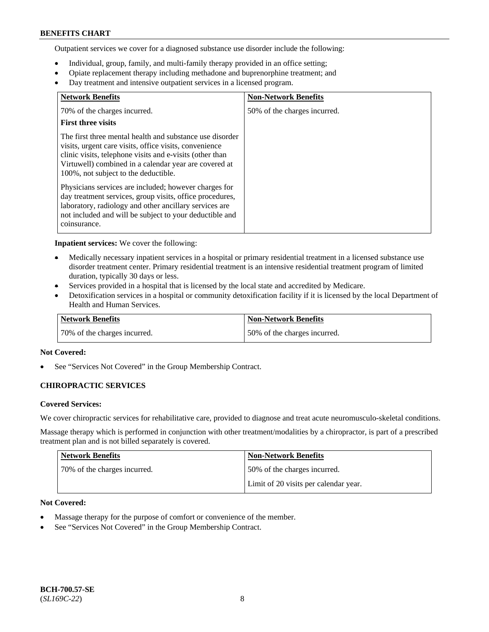Outpatient services we cover for a diagnosed substance use disorder include the following:

- Individual, group, family, and multi-family therapy provided in an office setting;
- Opiate replacement therapy including methadone and buprenorphine treatment; and
- Day treatment and intensive outpatient services in a licensed program.

| <b>Network Benefits</b>                                                                                                                                                                                                                                                         | <b>Non-Network Benefits</b>  |
|---------------------------------------------------------------------------------------------------------------------------------------------------------------------------------------------------------------------------------------------------------------------------------|------------------------------|
| 70% of the charges incurred.                                                                                                                                                                                                                                                    | 50% of the charges incurred. |
| <b>First three visits</b>                                                                                                                                                                                                                                                       |                              |
| The first three mental health and substance use disorder<br>visits, urgent care visits, office visits, convenience<br>clinic visits, telephone visits and e-visits (other than<br>Virtuwell) combined in a calendar year are covered at<br>100%, not subject to the deductible. |                              |
| Physicians services are included; however charges for<br>day treatment services, group visits, office procedures,<br>laboratory, radiology and other ancillary services are<br>not included and will be subject to your deductible and<br>coinsurance.                          |                              |

**Inpatient services:** We cover the following:

- Medically necessary inpatient services in a hospital or primary residential treatment in a licensed substance use disorder treatment center. Primary residential treatment is an intensive residential treatment program of limited duration, typically 30 days or less.
- Services provided in a hospital that is licensed by the local state and accredited by Medicare.
- Detoxification services in a hospital or community detoxification facility if it is licensed by the local Department of Health and Human Services.

| <b>Network Benefits</b>      | <b>Non-Network Benefits</b>  |
|------------------------------|------------------------------|
| 70% of the charges incurred. | 50% of the charges incurred. |

### **Not Covered:**

See "Services Not Covered" in the Group Membership Contract.

### **CHIROPRACTIC SERVICES**

#### **Covered Services:**

We cover chiropractic services for rehabilitative care, provided to diagnose and treat acute neuromusculo-skeletal conditions.

Massage therapy which is performed in conjunction with other treatment/modalities by a chiropractor, is part of a prescribed treatment plan and is not billed separately is covered.

| Network Benefits             | <b>Non-Network Benefits</b>           |
|------------------------------|---------------------------------------|
| 70% of the charges incurred. | 50% of the charges incurred.          |
|                              | Limit of 20 visits per calendar year. |

## **Not Covered:**

- Massage therapy for the purpose of comfort or convenience of the member.
- See "Services Not Covered" in the Group Membership Contract.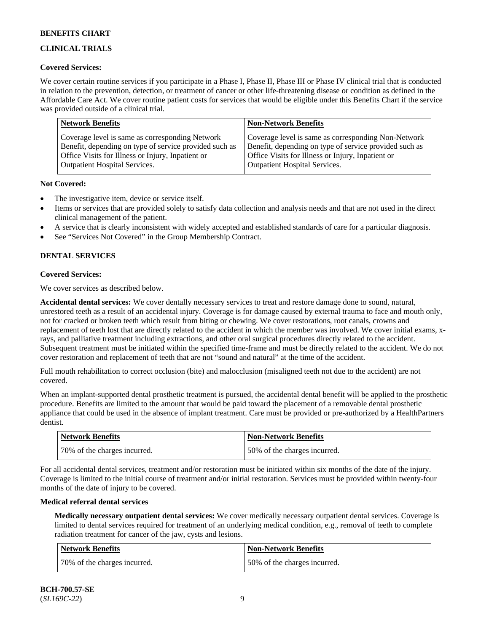## **CLINICAL TRIALS**

### **Covered Services:**

We cover certain routine services if you participate in a Phase I, Phase II, Phase III or Phase IV clinical trial that is conducted in relation to the prevention, detection, or treatment of cancer or other life-threatening disease or condition as defined in the Affordable Care Act. We cover routine patient costs for services that would be eligible under this Benefits Chart if the service was provided outside of a clinical trial.

| <b>Network Benefits</b>                                | <b>Non-Network Benefits</b>                            |
|--------------------------------------------------------|--------------------------------------------------------|
| Coverage level is same as corresponding Network        | Coverage level is same as corresponding Non-Network    |
| Benefit, depending on type of service provided such as | Benefit, depending on type of service provided such as |
| Office Visits for Illness or Injury, Inpatient or      | Office Visits for Illness or Injury, Inpatient or      |
| <b>Outpatient Hospital Services.</b>                   | <b>Outpatient Hospital Services.</b>                   |

### **Not Covered:**

- The investigative item, device or service itself.
- Items or services that are provided solely to satisfy data collection and analysis needs and that are not used in the direct clinical management of the patient.
- A service that is clearly inconsistent with widely accepted and established standards of care for a particular diagnosis.
- See "Services Not Covered" in the Group Membership Contract.

## **DENTAL SERVICES**

## **Covered Services:**

We cover services as described below.

**Accidental dental services:** We cover dentally necessary services to treat and restore damage done to sound, natural, unrestored teeth as a result of an accidental injury. Coverage is for damage caused by external trauma to face and mouth only, not for cracked or broken teeth which result from biting or chewing. We cover restorations, root canals, crowns and replacement of teeth lost that are directly related to the accident in which the member was involved. We cover initial exams, xrays, and palliative treatment including extractions, and other oral surgical procedures directly related to the accident. Subsequent treatment must be initiated within the specified time-frame and must be directly related to the accident. We do not cover restoration and replacement of teeth that are not "sound and natural" at the time of the accident.

Full mouth rehabilitation to correct occlusion (bite) and malocclusion (misaligned teeth not due to the accident) are not covered.

When an implant-supported dental prosthetic treatment is pursued, the accidental dental benefit will be applied to the prosthetic procedure. Benefits are limited to the amount that would be paid toward the placement of a removable dental prosthetic appliance that could be used in the absence of implant treatment. Care must be provided or pre-authorized by a HealthPartners dentist.

| <b>Network Benefits</b>      | <b>Non-Network Benefits</b>  |
|------------------------------|------------------------------|
| 70% of the charges incurred. | 50% of the charges incurred. |

For all accidental dental services, treatment and/or restoration must be initiated within six months of the date of the injury. Coverage is limited to the initial course of treatment and/or initial restoration. Services must be provided within twenty-four months of the date of injury to be covered.

### **Medical referral dental services**

**Medically necessary outpatient dental services:** We cover medically necessary outpatient dental services. Coverage is limited to dental services required for treatment of an underlying medical condition, e.g., removal of teeth to complete radiation treatment for cancer of the jaw, cysts and lesions.

| Network Benefits             | <b>Non-Network Benefits</b>  |
|------------------------------|------------------------------|
| 70% of the charges incurred. | 50% of the charges incurred. |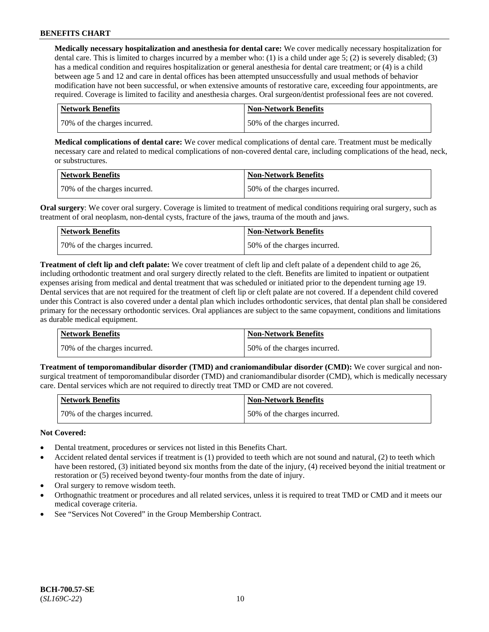**Medically necessary hospitalization and anesthesia for dental care:** We cover medically necessary hospitalization for dental care. This is limited to charges incurred by a member who: (1) is a child under age 5; (2) is severely disabled; (3) has a medical condition and requires hospitalization or general anesthesia for dental care treatment; or (4) is a child between age 5 and 12 and care in dental offices has been attempted unsuccessfully and usual methods of behavior modification have not been successful, or when extensive amounts of restorative care, exceeding four appointments, are required. Coverage is limited to facility and anesthesia charges. Oral surgeon/dentist professional fees are not covered.

| <b>Network Benefits</b>      | Non-Network Benefits         |
|------------------------------|------------------------------|
| 70% of the charges incurred. | 50% of the charges incurred. |

**Medical complications of dental care:** We cover medical complications of dental care. Treatment must be medically necessary care and related to medical complications of non-covered dental care, including complications of the head, neck, or substructures.

| Network Benefits             | <b>Non-Network Benefits</b>  |
|------------------------------|------------------------------|
| 70% of the charges incurred. | 50% of the charges incurred. |

**Oral surgery:** We cover oral surgery. Coverage is limited to treatment of medical conditions requiring oral surgery, such as treatment of oral neoplasm, non-dental cysts, fracture of the jaws, trauma of the mouth and jaws.

| <b>Network Benefits</b>      | <b>Non-Network Benefits</b>  |
|------------------------------|------------------------------|
| 70% of the charges incurred. | 50% of the charges incurred. |

**Treatment of cleft lip and cleft palate:** We cover treatment of cleft lip and cleft palate of a dependent child to age 26, including orthodontic treatment and oral surgery directly related to the cleft. Benefits are limited to inpatient or outpatient expenses arising from medical and dental treatment that was scheduled or initiated prior to the dependent turning age 19. Dental services that are not required for the treatment of cleft lip or cleft palate are not covered. If a dependent child covered under this Contract is also covered under a dental plan which includes orthodontic services, that dental plan shall be considered primary for the necessary orthodontic services. Oral appliances are subject to the same copayment, conditions and limitations as durable medical equipment.

| Network Benefits             | <b>Non-Network Benefits</b>  |
|------------------------------|------------------------------|
| 70% of the charges incurred. | 50% of the charges incurred. |

**Treatment of temporomandibular disorder (TMD) and craniomandibular disorder (CMD):** We cover surgical and nonsurgical treatment of temporomandibular disorder (TMD) and craniomandibular disorder (CMD), which is medically necessary care. Dental services which are not required to directly treat TMD or CMD are not covered.

| <b>Network Benefits</b>      | <b>Non-Network Benefits</b>  |
|------------------------------|------------------------------|
| 70% of the charges incurred. | 50% of the charges incurred. |

### **Not Covered:**

- Dental treatment, procedures or services not listed in this Benefits Chart.
- Accident related dental services if treatment is (1) provided to teeth which are not sound and natural, (2) to teeth which have been restored, (3) initiated beyond six months from the date of the injury, (4) received beyond the initial treatment or restoration or (5) received beyond twenty-four months from the date of injury.
- Oral surgery to remove wisdom teeth.
- Orthognathic treatment or procedures and all related services, unless it is required to treat TMD or CMD and it meets our medical coverage criteria.
- See "Services Not Covered" in the Group Membership Contract.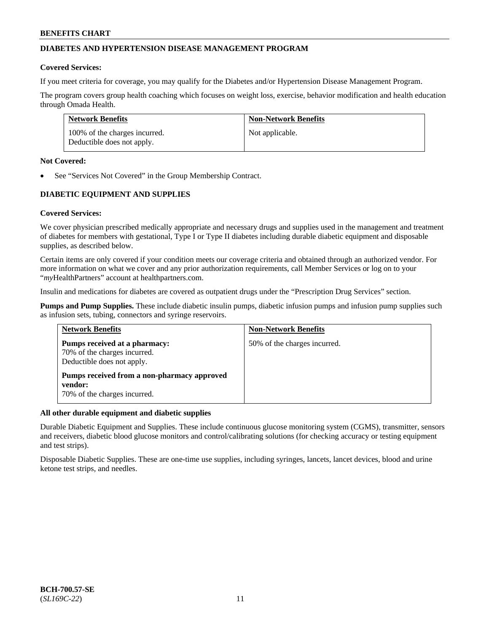## **DIABETES AND HYPERTENSION DISEASE MANAGEMENT PROGRAM**

### **Covered Services:**

If you meet criteria for coverage, you may qualify for the Diabetes and/or Hypertension Disease Management Program.

The program covers group health coaching which focuses on weight loss, exercise, behavior modification and health education through Omada Health.

| <b>Network Benefits</b>                                     | <b>Non-Network Benefits</b> |
|-------------------------------------------------------------|-----------------------------|
| 100% of the charges incurred.<br>Deductible does not apply. | Not applicable.             |

#### **Not Covered:**

See "Services Not Covered" in the Group Membership Contract.

## **DIABETIC EQUIPMENT AND SUPPLIES**

### **Covered Services:**

We cover physician prescribed medically appropriate and necessary drugs and supplies used in the management and treatment of diabetes for members with gestational, Type I or Type II diabetes including durable diabetic equipment and disposable supplies, as described below.

Certain items are only covered if your condition meets our coverage criteria and obtained through an authorized vendor. For more information on what we cover and any prior authorization requirements, call Member Services or log on to your "*my*HealthPartners" account at [healthpartners.com.](http://www.healthpartners.com/)

Insulin and medications for diabetes are covered as outpatient drugs under the "Prescription Drug Services" section.

**Pumps and Pump Supplies.** These include diabetic insulin pumps, diabetic infusion pumps and infusion pump supplies such as infusion sets, tubing, connectors and syringe reservoirs.

| <b>Network Benefits</b>                                                                     | <b>Non-Network Benefits</b>  |
|---------------------------------------------------------------------------------------------|------------------------------|
| Pumps received at a pharmacy:<br>70% of the charges incurred.<br>Deductible does not apply. | 50% of the charges incurred. |
| Pumps received from a non-pharmacy approved<br>vendor:<br>70% of the charges incurred.      |                              |

### **All other durable equipment and diabetic supplies**

Durable Diabetic Equipment and Supplies. These include continuous glucose monitoring system (CGMS), transmitter, sensors and receivers, diabetic blood glucose monitors and control/calibrating solutions (for checking accuracy or testing equipment and test strips).

Disposable Diabetic Supplies. These are one-time use supplies, including syringes, lancets, lancet devices, blood and urine ketone test strips, and needles.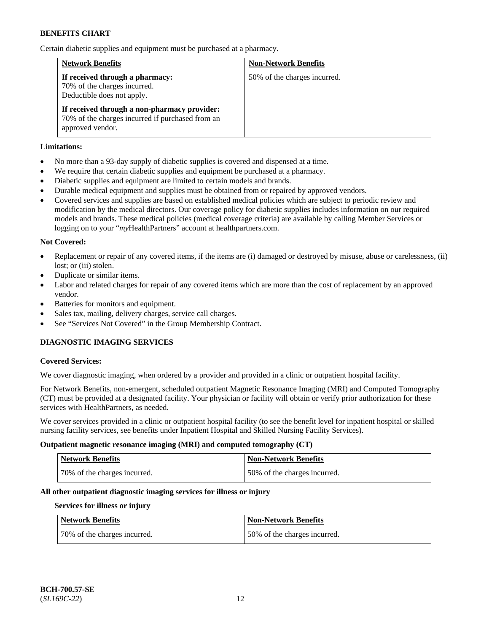Certain diabetic supplies and equipment must be purchased at a pharmacy.

| <b>Network Benefits</b>                                                                                              | <b>Non-Network Benefits</b>  |
|----------------------------------------------------------------------------------------------------------------------|------------------------------|
| If received through a pharmacy:<br>70% of the charges incurred.<br>Deductible does not apply.                        | 50% of the charges incurred. |
| If received through a non-pharmacy provider:<br>70% of the charges incurred if purchased from an<br>approved vendor. |                              |

### **Limitations:**

- No more than a 93-day supply of diabetic supplies is covered and dispensed at a time.
- We require that certain diabetic supplies and equipment be purchased at a pharmacy.
- Diabetic supplies and equipment are limited to certain models and brands.
- Durable medical equipment and supplies must be obtained from or repaired by approved vendors.
- Covered services and supplies are based on established medical policies which are subject to periodic review and modification by the medical directors. Our coverage policy for diabetic supplies includes information on our required models and brands. These medical policies (medical coverage criteria) are available by calling Member Services or logging on to your "*my*HealthPartners" account at [healthpartners.com.](http://www.healthpartners.com/)

## **Not Covered:**

- Replacement or repair of any covered items, if the items are (i) damaged or destroyed by misuse, abuse or carelessness, (ii) lost: or (iii) stolen.
- Duplicate or similar items.
- Labor and related charges for repair of any covered items which are more than the cost of replacement by an approved vendor.
- Batteries for monitors and equipment.
- Sales tax, mailing, delivery charges, service call charges.
- See "Services Not Covered" in the Group Membership Contract.

## **DIAGNOSTIC IMAGING SERVICES**

### **Covered Services:**

We cover diagnostic imaging, when ordered by a provider and provided in a clinic or outpatient hospital facility.

For Network Benefits, non-emergent, scheduled outpatient Magnetic Resonance Imaging (MRI) and Computed Tomography (CT) must be provided at a designated facility. Your physician or facility will obtain or verify prior authorization for these services with HealthPartners, as needed.

We cover services provided in a clinic or outpatient hospital facility (to see the benefit level for inpatient hospital or skilled nursing facility services, see benefits under Inpatient Hospital and Skilled Nursing Facility Services).

### **Outpatient magnetic resonance imaging (MRI) and computed tomography (CT)**

| <b>Network Benefits</b>      | <b>Non-Network Benefits</b>  |
|------------------------------|------------------------------|
| 70% of the charges incurred. | 50% of the charges incurred. |

### **All other outpatient diagnostic imaging services for illness or injury**

### **Services for illness or injury**

| <b>Network Benefits</b>      | <b>Non-Network Benefits</b>  |
|------------------------------|------------------------------|
| 70% of the charges incurred. | 50% of the charges incurred. |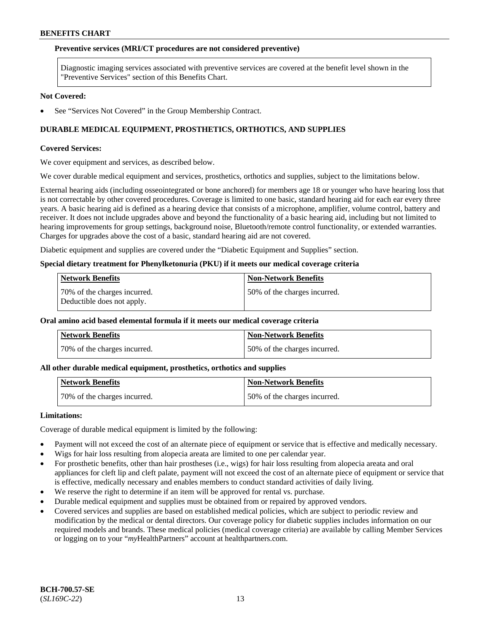#### **Preventive services (MRI/CT procedures are not considered preventive)**

Diagnostic imaging services associated with preventive services are covered at the benefit level shown in the "Preventive Services" section of this Benefits Chart.

#### **Not Covered:**

See "Services Not Covered" in the Group Membership Contract.

## **DURABLE MEDICAL EQUIPMENT, PROSTHETICS, ORTHOTICS, AND SUPPLIES**

#### **Covered Services:**

We cover equipment and services, as described below.

We cover durable medical equipment and services, prosthetics, orthotics and supplies, subject to the limitations below.

External hearing aids (including osseointegrated or bone anchored) for members age 18 or younger who have hearing loss that is not correctable by other covered procedures. Coverage is limited to one basic, standard hearing aid for each ear every three years. A basic hearing aid is defined as a hearing device that consists of a microphone, amplifier, volume control, battery and receiver. It does not include upgrades above and beyond the functionality of a basic hearing aid, including but not limited to hearing improvements for group settings, background noise, Bluetooth/remote control functionality, or extended warranties. Charges for upgrades above the cost of a basic, standard hearing aid are not covered.

Diabetic equipment and supplies are covered under the "Diabetic Equipment and Supplies" section.

#### **Special dietary treatment for Phenylketonuria (PKU) if it meets our medical coverage criteria**

| <b>Network Benefits</b>                                    | <b>Non-Network Benefits</b>  |
|------------------------------------------------------------|------------------------------|
| 70% of the charges incurred.<br>Deductible does not apply. | 50% of the charges incurred. |

## **Oral amino acid based elemental formula if it meets our medical coverage criteria**

| <b>Network Benefits</b>      | ' Non-Network Benefits       |
|------------------------------|------------------------------|
| 70% of the charges incurred. | 50% of the charges incurred. |

#### **All other durable medical equipment, prosthetics, orthotics and supplies**

| <b>Network Benefits</b>      | Non-Network Benefits         |
|------------------------------|------------------------------|
| 70% of the charges incurred. | 50% of the charges incurred. |

#### **Limitations:**

Coverage of durable medical equipment is limited by the following:

- Payment will not exceed the cost of an alternate piece of equipment or service that is effective and medically necessary.
- Wigs for hair loss resulting from alopecia areata are limited to one per calendar year.
- For prosthetic benefits, other than hair prostheses (i.e., wigs) for hair loss resulting from alopecia areata and oral appliances for cleft lip and cleft palate, payment will not exceed the cost of an alternate piece of equipment or service that is effective, medically necessary and enables members to conduct standard activities of daily living.
- We reserve the right to determine if an item will be approved for rental vs. purchase.
- Durable medical equipment and supplies must be obtained from or repaired by approved vendors.
- Covered services and supplies are based on established medical policies, which are subject to periodic review and modification by the medical or dental directors. Our coverage policy for diabetic supplies includes information on our required models and brands. These medical policies (medical coverage criteria) are available by calling Member Services or logging on to your "*my*HealthPartners" account a[t healthpartners.com.](https://www.healthpartners.com/hp/index.html)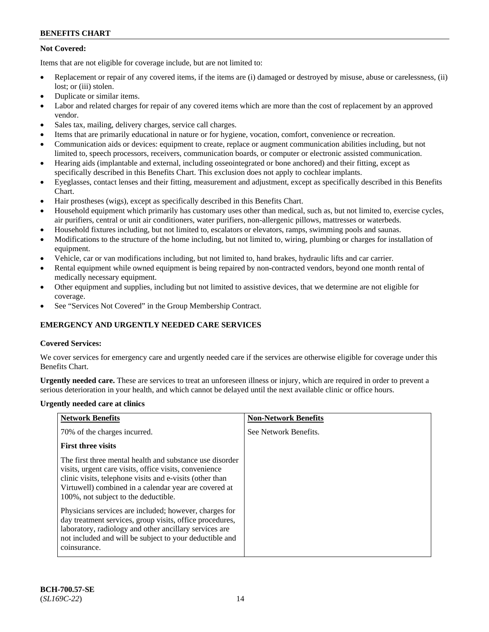## **Not Covered:**

Items that are not eligible for coverage include, but are not limited to:

- Replacement or repair of any covered items, if the items are (i) damaged or destroyed by misuse, abuse or carelessness, (ii) lost; or (iii) stolen.
- Duplicate or similar items.
- Labor and related charges for repair of any covered items which are more than the cost of replacement by an approved vendor.
- Sales tax, mailing, delivery charges, service call charges.
- Items that are primarily educational in nature or for hygiene, vocation, comfort, convenience or recreation.
- Communication aids or devices: equipment to create, replace or augment communication abilities including, but not limited to, speech processors, receivers, communication boards, or computer or electronic assisted communication.
- Hearing aids (implantable and external, including osseointegrated or bone anchored) and their fitting, except as specifically described in this Benefits Chart. This exclusion does not apply to cochlear implants.
- Eyeglasses, contact lenses and their fitting, measurement and adjustment, except as specifically described in this Benefits Chart.
- Hair prostheses (wigs), except as specifically described in this Benefits Chart.
- Household equipment which primarily has customary uses other than medical, such as, but not limited to, exercise cycles, air purifiers, central or unit air conditioners, water purifiers, non-allergenic pillows, mattresses or waterbeds.
- Household fixtures including, but not limited to, escalators or elevators, ramps, swimming pools and saunas.
- Modifications to the structure of the home including, but not limited to, wiring, plumbing or charges for installation of equipment.
- Vehicle, car or van modifications including, but not limited to, hand brakes, hydraulic lifts and car carrier.
- Rental equipment while owned equipment is being repaired by non-contracted vendors, beyond one month rental of medically necessary equipment.
- Other equipment and supplies, including but not limited to assistive devices, that we determine are not eligible for coverage.
- See "Services Not Covered" in the Group Membership Contract.

## **EMERGENCY AND URGENTLY NEEDED CARE SERVICES**

### **Covered Services:**

We cover services for emergency care and urgently needed care if the services are otherwise eligible for coverage under this Benefits Chart.

**Urgently needed care.** These are services to treat an unforeseen illness or injury, which are required in order to prevent a serious deterioration in your health, and which cannot be delayed until the next available clinic or office hours.

### **Urgently needed care at clinics**

| <b>Network Benefits</b>                                                                                                                                                                                                                                                         | <b>Non-Network Benefits</b> |
|---------------------------------------------------------------------------------------------------------------------------------------------------------------------------------------------------------------------------------------------------------------------------------|-----------------------------|
| 70% of the charges incurred.                                                                                                                                                                                                                                                    | See Network Benefits.       |
| <b>First three visits</b>                                                                                                                                                                                                                                                       |                             |
| The first three mental health and substance use disorder<br>visits, urgent care visits, office visits, convenience<br>clinic visits, telephone visits and e-visits (other than<br>Virtuwell) combined in a calendar year are covered at<br>100%, not subject to the deductible. |                             |
| Physicians services are included; however, charges for<br>day treatment services, group visits, office procedures,<br>laboratory, radiology and other ancillary services are<br>not included and will be subject to your deductible and<br>coinsurance.                         |                             |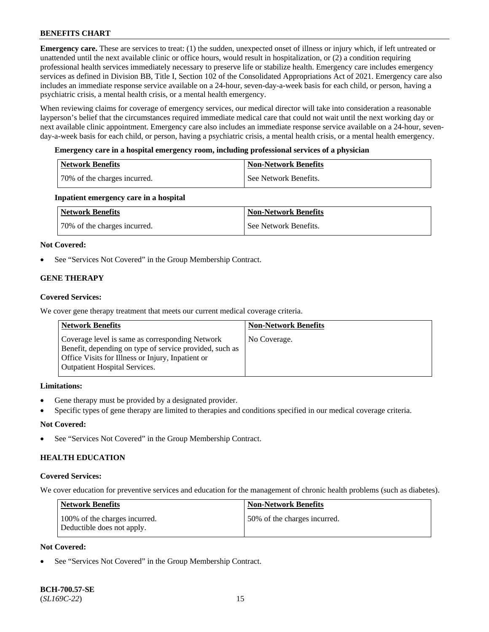**Emergency care.** These are services to treat: (1) the sudden, unexpected onset of illness or injury which, if left untreated or unattended until the next available clinic or office hours, would result in hospitalization, or (2) a condition requiring professional health services immediately necessary to preserve life or stabilize health. Emergency care includes emergency services as defined in Division BB, Title I, Section 102 of the Consolidated Appropriations Act of 2021. Emergency care also includes an immediate response service available on a 24-hour, seven-day-a-week basis for each child, or person, having a psychiatric crisis, a mental health crisis, or a mental health emergency.

When reviewing claims for coverage of emergency services, our medical director will take into consideration a reasonable layperson's belief that the circumstances required immediate medical care that could not wait until the next working day or next available clinic appointment. Emergency care also includes an immediate response service available on a 24-hour, sevenday-a-week basis for each child, or person, having a psychiatric crisis, a mental health crisis, or a mental health emergency.

### **Emergency care in a hospital emergency room, including professional services of a physician**

| <b>Network Benefits</b>      | <b>Non-Network Benefits</b> |
|------------------------------|-----------------------------|
| 70% of the charges incurred. | See Network Benefits.       |

### **Inpatient emergency care in a hospital**

| Network Benefits             | <b>Non-Network Benefits</b> |
|------------------------------|-----------------------------|
| 70% of the charges incurred. | See Network Benefits.       |

## **Not Covered:**

See "Services Not Covered" in the Group Membership Contract.

## **GENE THERAPY**

## **Covered Services:**

We cover gene therapy treatment that meets our current medical coverage criteria.

| <b>Network Benefits</b>                                                                                                                                                                                 | <b>Non-Network Benefits</b> |
|---------------------------------------------------------------------------------------------------------------------------------------------------------------------------------------------------------|-----------------------------|
| Coverage level is same as corresponding Network<br>Benefit, depending on type of service provided, such as<br>Office Visits for Illness or Injury, Inpatient or<br><b>Outpatient Hospital Services.</b> | No Coverage.                |

### **Limitations:**

- Gene therapy must be provided by a designated provider.
- Specific types of gene therapy are limited to therapies and conditions specified in our medical coverage criteria.

## **Not Covered:**

See "Services Not Covered" in the Group Membership Contract.

## **HEALTH EDUCATION**

### **Covered Services:**

We cover education for preventive services and education for the management of chronic health problems (such as diabetes).

| <b>Network Benefits</b>                                     | Non-Network Benefits         |
|-------------------------------------------------------------|------------------------------|
| 100% of the charges incurred.<br>Deductible does not apply. | 50% of the charges incurred. |

## **Not Covered:**

See "Services Not Covered" in the Group Membership Contract.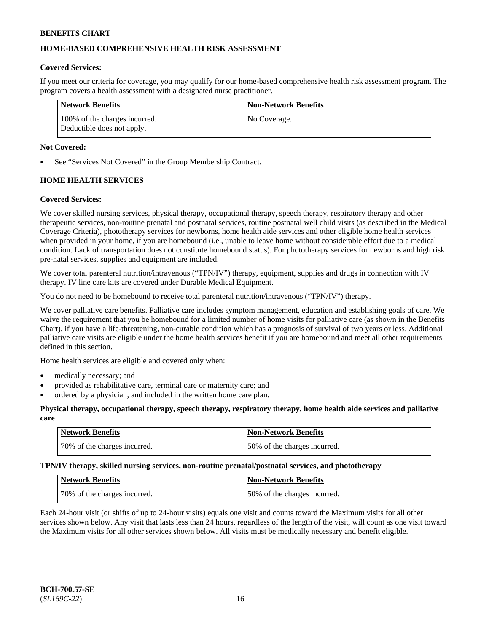## **HOME-BASED COMPREHENSIVE HEALTH RISK ASSESSMENT**

### **Covered Services:**

If you meet our criteria for coverage, you may qualify for our home-based comprehensive health risk assessment program. The program covers a health assessment with a designated nurse practitioner.

| Network Benefits                                            | Non-Network Benefits |
|-------------------------------------------------------------|----------------------|
| 100% of the charges incurred.<br>Deductible does not apply. | No Coverage.         |

### **Not Covered:**

See "Services Not Covered" in the Group Membership Contract.

## **HOME HEALTH SERVICES**

#### **Covered Services:**

We cover skilled nursing services, physical therapy, occupational therapy, speech therapy, respiratory therapy and other therapeutic services, non-routine prenatal and postnatal services, routine postnatal well child visits (as described in the Medical Coverage Criteria), phototherapy services for newborns, home health aide services and other eligible home health services when provided in your home, if you are homebound (i.e., unable to leave home without considerable effort due to a medical condition. Lack of transportation does not constitute homebound status). For phototherapy services for newborns and high risk pre-natal services, supplies and equipment are included.

We cover total parenteral nutrition/intravenous ("TPN/IV") therapy, equipment, supplies and drugs in connection with IV therapy. IV line care kits are covered under Durable Medical Equipment.

You do not need to be homebound to receive total parenteral nutrition/intravenous ("TPN/IV") therapy.

We cover palliative care benefits. Palliative care includes symptom management, education and establishing goals of care. We waive the requirement that you be homebound for a limited number of home visits for palliative care (as shown in the Benefits Chart), if you have a life-threatening, non-curable condition which has a prognosis of survival of two years or less. Additional palliative care visits are eligible under the home health services benefit if you are homebound and meet all other requirements defined in this section.

Home health services are eligible and covered only when:

- medically necessary; and
- provided as rehabilitative care, terminal care or maternity care; and
- ordered by a physician, and included in the written home care plan.

#### **Physical therapy, occupational therapy, speech therapy, respiratory therapy, home health aide services and palliative care**

| <b>Network Benefits</b>       | Non-Network Benefits         |
|-------------------------------|------------------------------|
| 170% of the charges incurred. | 50% of the charges incurred. |

**TPN/IV therapy, skilled nursing services, non-routine prenatal/postnatal services, and phototherapy**

| <b>Network Benefits</b>      | <b>Non-Network Benefits</b>  |
|------------------------------|------------------------------|
| 70% of the charges incurred. | 50% of the charges incurred. |

Each 24-hour visit (or shifts of up to 24-hour visits) equals one visit and counts toward the Maximum visits for all other services shown below. Any visit that lasts less than 24 hours, regardless of the length of the visit, will count as one visit toward the Maximum visits for all other services shown below. All visits must be medically necessary and benefit eligible.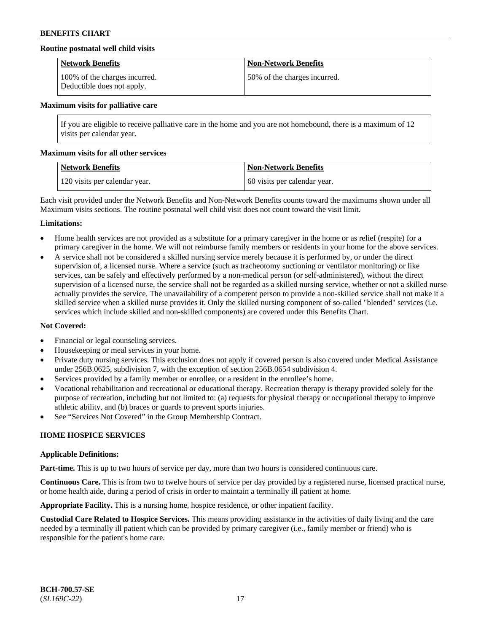### **Routine postnatal well child visits**

| <b>Network Benefits</b>                                     | <b>Non-Network Benefits</b>  |
|-------------------------------------------------------------|------------------------------|
| 100% of the charges incurred.<br>Deductible does not apply. | 50% of the charges incurred. |

#### **Maximum visits for palliative care**

If you are eligible to receive palliative care in the home and you are not homebound, there is a maximum of 12 visits per calendar year.

#### **Maximum visits for all other services**

| <b>Network Benefits</b>       | <b>Non-Network Benefits</b>  |
|-------------------------------|------------------------------|
| 120 visits per calendar year. | 60 visits per calendar year. |

Each visit provided under the Network Benefits and Non-Network Benefits counts toward the maximums shown under all Maximum visits sections. The routine postnatal well child visit does not count toward the visit limit.

### **Limitations:**

- Home health services are not provided as a substitute for a primary caregiver in the home or as relief (respite) for a primary caregiver in the home. We will not reimburse family members or residents in your home for the above services.
- A service shall not be considered a skilled nursing service merely because it is performed by, or under the direct supervision of, a licensed nurse. Where a service (such as tracheotomy suctioning or ventilator monitoring) or like services, can be safely and effectively performed by a non-medical person (or self-administered), without the direct supervision of a licensed nurse, the service shall not be regarded as a skilled nursing service, whether or not a skilled nurse actually provides the service. The unavailability of a competent person to provide a non-skilled service shall not make it a skilled service when a skilled nurse provides it. Only the skilled nursing component of so-called "blended" services (i.e. services which include skilled and non-skilled components) are covered under this Benefits Chart.

### **Not Covered:**

- Financial or legal counseling services.
- Housekeeping or meal services in your home.
- Private duty nursing services. This exclusion does not apply if covered person is also covered under Medical Assistance under 256B.0625, subdivision 7, with the exception of section 256B.0654 subdivision 4.
- Services provided by a family member or enrollee, or a resident in the enrollee's home.
- Vocational rehabilitation and recreational or educational therapy. Recreation therapy is therapy provided solely for the purpose of recreation, including but not limited to: (a) requests for physical therapy or occupational therapy to improve athletic ability, and (b) braces or guards to prevent sports injuries.
- See "Services Not Covered" in the Group Membership Contract.

### **HOME HOSPICE SERVICES**

#### **Applicable Definitions:**

**Part-time.** This is up to two hours of service per day, more than two hours is considered continuous care.

**Continuous Care.** This is from two to twelve hours of service per day provided by a registered nurse, licensed practical nurse, or home health aide, during a period of crisis in order to maintain a terminally ill patient at home.

**Appropriate Facility.** This is a nursing home, hospice residence, or other inpatient facility.

**Custodial Care Related to Hospice Services.** This means providing assistance in the activities of daily living and the care needed by a terminally ill patient which can be provided by primary caregiver (i.e., family member or friend) who is responsible for the patient's home care.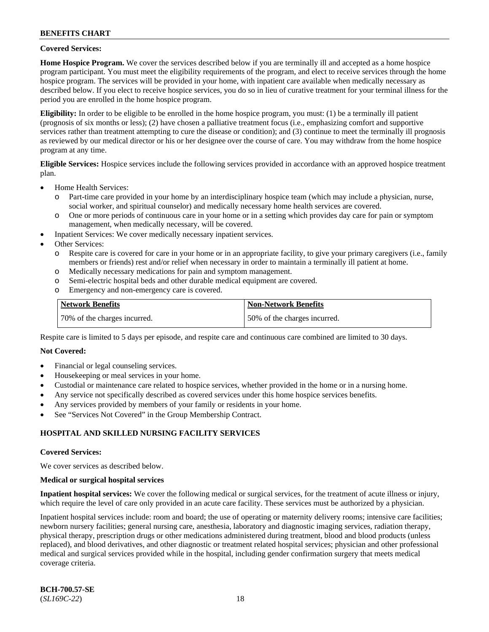### **Covered Services:**

**Home Hospice Program.** We cover the services described below if you are terminally ill and accepted as a home hospice program participant. You must meet the eligibility requirements of the program, and elect to receive services through the home hospice program. The services will be provided in your home, with inpatient care available when medically necessary as described below. If you elect to receive hospice services, you do so in lieu of curative treatment for your terminal illness for the period you are enrolled in the home hospice program.

**Eligibility:** In order to be eligible to be enrolled in the home hospice program, you must: (1) be a terminally ill patient (prognosis of six months or less); (2) have chosen a palliative treatment focus (i.e., emphasizing comfort and supportive services rather than treatment attempting to cure the disease or condition); and (3) continue to meet the terminally ill prognosis as reviewed by our medical director or his or her designee over the course of care. You may withdraw from the home hospice program at any time.

**Eligible Services:** Hospice services include the following services provided in accordance with an approved hospice treatment plan.

- Home Health Services:
	- o Part-time care provided in your home by an interdisciplinary hospice team (which may include a physician, nurse, social worker, and spiritual counselor) and medically necessary home health services are covered.
	- o One or more periods of continuous care in your home or in a setting which provides day care for pain or symptom management, when medically necessary, will be covered.
	- Inpatient Services: We cover medically necessary inpatient services.
- Other Services:
	- o Respite care is covered for care in your home or in an appropriate facility, to give your primary caregivers (i.e., family members or friends) rest and/or relief when necessary in order to maintain a terminally ill patient at home.
	- o Medically necessary medications for pain and symptom management.
	- Semi-electric hospital beds and other durable medical equipment are covered.
	- o Emergency and non-emergency care is covered.

| Network Benefits             | <b>Non-Network Benefits</b>  |
|------------------------------|------------------------------|
| 70% of the charges incurred. | 50% of the charges incurred. |

Respite care is limited to 5 days per episode, and respite care and continuous care combined are limited to 30 days.

### **Not Covered:**

- Financial or legal counseling services.
- Housekeeping or meal services in your home.
- Custodial or maintenance care related to hospice services, whether provided in the home or in a nursing home.
- Any service not specifically described as covered services under this home hospice services benefits.
- Any services provided by members of your family or residents in your home.
- See "Services Not Covered" in the Group Membership Contract.

### **HOSPITAL AND SKILLED NURSING FACILITY SERVICES**

#### **Covered Services:**

We cover services as described below.

#### **Medical or surgical hospital services**

**Inpatient hospital services:** We cover the following medical or surgical services, for the treatment of acute illness or injury, which require the level of care only provided in an acute care facility. These services must be authorized by a physician.

Inpatient hospital services include: room and board; the use of operating or maternity delivery rooms; intensive care facilities; newborn nursery facilities; general nursing care, anesthesia, laboratory and diagnostic imaging services, radiation therapy, physical therapy, prescription drugs or other medications administered during treatment, blood and blood products (unless replaced), and blood derivatives, and other diagnostic or treatment related hospital services; physician and other professional medical and surgical services provided while in the hospital, including gender confirmation surgery that meets medical coverage criteria.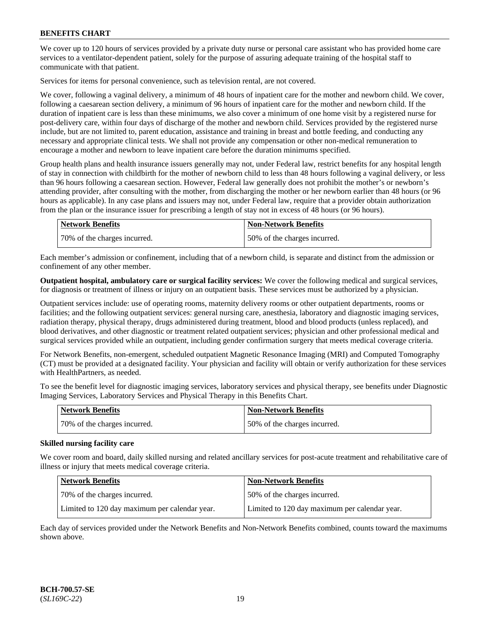We cover up to 120 hours of services provided by a private duty nurse or personal care assistant who has provided home care services to a ventilator-dependent patient, solely for the purpose of assuring adequate training of the hospital staff to communicate with that patient.

Services for items for personal convenience, such as television rental, are not covered.

We cover, following a vaginal delivery, a minimum of 48 hours of inpatient care for the mother and newborn child. We cover, following a caesarean section delivery, a minimum of 96 hours of inpatient care for the mother and newborn child. If the duration of inpatient care is less than these minimums, we also cover a minimum of one home visit by a registered nurse for post-delivery care, within four days of discharge of the mother and newborn child. Services provided by the registered nurse include, but are not limited to, parent education, assistance and training in breast and bottle feeding, and conducting any necessary and appropriate clinical tests. We shall not provide any compensation or other non-medical remuneration to encourage a mother and newborn to leave inpatient care before the duration minimums specified.

Group health plans and health insurance issuers generally may not, under Federal law, restrict benefits for any hospital length of stay in connection with childbirth for the mother of newborn child to less than 48 hours following a vaginal delivery, or less than 96 hours following a caesarean section. However, Federal law generally does not prohibit the mother's or newborn's attending provider, after consulting with the mother, from discharging the mother or her newborn earlier than 48 hours (or 96 hours as applicable). In any case plans and issuers may not, under Federal law, require that a provider obtain authorization from the plan or the insurance issuer for prescribing a length of stay not in excess of 48 hours (or 96 hours).

| Network Benefits             | <b>Non-Network Benefits</b>  |
|------------------------------|------------------------------|
| 70% of the charges incurred. | 50% of the charges incurred. |

Each member's admission or confinement, including that of a newborn child, is separate and distinct from the admission or confinement of any other member.

**Outpatient hospital, ambulatory care or surgical facility services:** We cover the following medical and surgical services, for diagnosis or treatment of illness or injury on an outpatient basis. These services must be authorized by a physician.

Outpatient services include: use of operating rooms, maternity delivery rooms or other outpatient departments, rooms or facilities; and the following outpatient services: general nursing care, anesthesia, laboratory and diagnostic imaging services, radiation therapy, physical therapy, drugs administered during treatment, blood and blood products (unless replaced), and blood derivatives, and other diagnostic or treatment related outpatient services; physician and other professional medical and surgical services provided while an outpatient, including gender confirmation surgery that meets medical coverage criteria.

For Network Benefits, non-emergent, scheduled outpatient Magnetic Resonance Imaging (MRI) and Computed Tomography (CT) must be provided at a designated facility. Your physician and facility will obtain or verify authorization for these services with HealthPartners, as needed.

To see the benefit level for diagnostic imaging services, laboratory services and physical therapy, see benefits under Diagnostic Imaging Services, Laboratory Services and Physical Therapy in this Benefits Chart.

| <b>Network Benefits</b>      | <b>Non-Network Benefits</b>  |
|------------------------------|------------------------------|
| 70% of the charges incurred. | 50% of the charges incurred. |

### **Skilled nursing facility care**

We cover room and board, daily skilled nursing and related ancillary services for post-acute treatment and rehabilitative care of illness or injury that meets medical coverage criteria.

| Network Benefits                              | <b>Non-Network Benefits</b>                   |
|-----------------------------------------------|-----------------------------------------------|
| 170% of the charges incurred.                 | 150% of the charges incurred.                 |
| Limited to 120 day maximum per calendar year. | Limited to 120 day maximum per calendar year. |

Each day of services provided under the Network Benefits and Non-Network Benefits combined, counts toward the maximums shown above.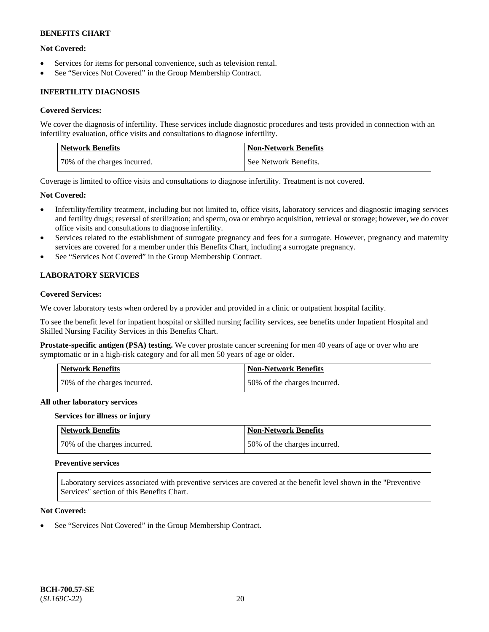### **Not Covered:**

- Services for items for personal convenience, such as television rental.
- See "Services Not Covered" in the Group Membership Contract.

## **INFERTILITY DIAGNOSIS**

### **Covered Services:**

We cover the diagnosis of infertility. These services include diagnostic procedures and tests provided in connection with an infertility evaluation, office visits and consultations to diagnose infertility.

| <b>Network Benefits</b>      | <b>Non-Network Benefits</b> |
|------------------------------|-----------------------------|
| 70% of the charges incurred. | See Network Benefits.       |

Coverage is limited to office visits and consultations to diagnose infertility. Treatment is not covered.

#### **Not Covered:**

- Infertility/fertility treatment, including but not limited to, office visits, laboratory services and diagnostic imaging services and fertility drugs; reversal of sterilization; and sperm, ova or embryo acquisition, retrieval or storage; however, we do cover office visits and consultations to diagnose infertility.
- Services related to the establishment of surrogate pregnancy and fees for a surrogate. However, pregnancy and maternity services are covered for a member under this Benefits Chart, including a surrogate pregnancy.
- See "Services Not Covered" in the Group Membership Contract.

## **LABORATORY SERVICES**

### **Covered Services:**

We cover laboratory tests when ordered by a provider and provided in a clinic or outpatient hospital facility.

To see the benefit level for inpatient hospital or skilled nursing facility services, see benefits under Inpatient Hospital and Skilled Nursing Facility Services in this Benefits Chart.

**Prostate-specific antigen (PSA) testing.** We cover prostate cancer screening for men 40 years of age or over who are symptomatic or in a high-risk category and for all men 50 years of age or older.

| <b>Network Benefits</b>      | Non-Network Benefits         |
|------------------------------|------------------------------|
| 70% of the charges incurred. | 50% of the charges incurred. |

#### **All other laboratory services**

#### **Services for illness or injury**

| Network Benefits             | Non-Network Benefits         |
|------------------------------|------------------------------|
| 70% of the charges incurred. | 50% of the charges incurred. |

#### **Preventive services**

Laboratory services associated with preventive services are covered at the benefit level shown in the "Preventive Services" section of this Benefits Chart.

### **Not Covered:**

See "Services Not Covered" in the Group Membership Contract.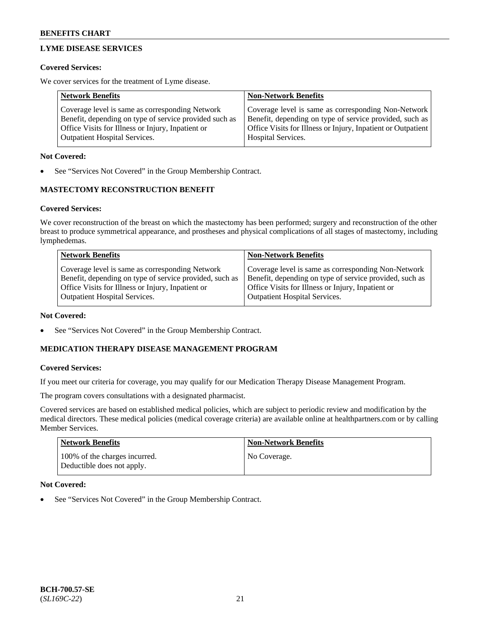## **LYME DISEASE SERVICES**

### **Covered Services:**

We cover services for the treatment of Lyme disease.

| <b>Network Benefits</b>                                | <b>Non-Network Benefits</b>                                  |
|--------------------------------------------------------|--------------------------------------------------------------|
| Coverage level is same as corresponding Network        | Coverage level is same as corresponding Non-Network          |
| Benefit, depending on type of service provided such as | Benefit, depending on type of service provided, such as      |
| Office Visits for Illness or Injury, Inpatient or      | Office Visits for Illness or Injury, Inpatient or Outpatient |
| <b>Outpatient Hospital Services.</b>                   | Hospital Services.                                           |

### **Not Covered:**

See "Services Not Covered" in the Group Membership Contract.

## **MASTECTOMY RECONSTRUCTION BENEFIT**

## **Covered Services:**

We cover reconstruction of the breast on which the mastectomy has been performed; surgery and reconstruction of the other breast to produce symmetrical appearance, and prostheses and physical complications of all stages of mastectomy, including lymphedemas.

| <b>Network Benefits</b>                                 | <b>Non-Network Benefits</b>                             |
|---------------------------------------------------------|---------------------------------------------------------|
| Coverage level is same as corresponding Network         | Coverage level is same as corresponding Non-Network     |
| Benefit, depending on type of service provided, such as | Benefit, depending on type of service provided, such as |
| Office Visits for Illness or Injury, Inpatient or       | Office Visits for Illness or Injury, Inpatient or       |
| <b>Outpatient Hospital Services.</b>                    | <b>Outpatient Hospital Services.</b>                    |

### **Not Covered:**

See "Services Not Covered" in the Group Membership Contract.

## **MEDICATION THERAPY DISEASE MANAGEMENT PROGRAM**

### **Covered Services:**

If you meet our criteria for coverage, you may qualify for our Medication Therapy Disease Management Program.

The program covers consultations with a designated pharmacist.

Covered services are based on established medical policies, which are subject to periodic review and modification by the medical directors. These medical policies (medical coverage criteria) are available online at [healthpartners.com](https://www.healthpartners.com/hp/index.html) or by calling Member Services.

| Network Benefits                                            | <b>Non-Network Benefits</b> |
|-------------------------------------------------------------|-----------------------------|
| 100% of the charges incurred.<br>Deductible does not apply. | No Coverage.                |

### **Not Covered:**

See "Services Not Covered" in the Group Membership Contract.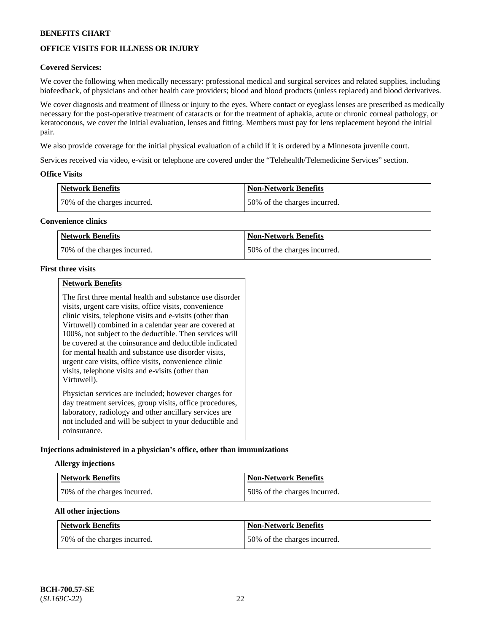## **OFFICE VISITS FOR ILLNESS OR INJURY**

### **Covered Services:**

We cover the following when medically necessary: professional medical and surgical services and related supplies, including biofeedback, of physicians and other health care providers; blood and blood products (unless replaced) and blood derivatives.

We cover diagnosis and treatment of illness or injury to the eyes. Where contact or eyeglass lenses are prescribed as medically necessary for the post-operative treatment of cataracts or for the treatment of aphakia, acute or chronic corneal pathology, or keratoconous, we cover the initial evaluation, lenses and fitting. Members must pay for lens replacement beyond the initial pair.

We also provide coverage for the initial physical evaluation of a child if it is ordered by a Minnesota juvenile court.

Services received via video, e-visit or telephone are covered under the "Telehealth/Telemedicine Services" section.

### **Office Visits**

| Network Benefits             | <b>Non-Network Benefits</b>  |
|------------------------------|------------------------------|
| 70% of the charges incurred. | 50% of the charges incurred. |

#### **Convenience clinics**

| <b>Network Benefits</b>      | <b>Non-Network Benefits</b>   |
|------------------------------|-------------------------------|
| 70% of the charges incurred. | 150% of the charges incurred. |

#### **First three visits**

|--|

The first three mental health and substance use disorder visits, urgent care visits, office visits, convenience clinic visits, telephone visits and e-visits (other than Virtuwell) combined in a calendar year are covered at 100%, not subject to the deductible. Then services will be covered at the coinsurance and deductible indicated for mental health and substance use disorder visits, urgent care visits, office visits, convenience clinic visits, telephone visits and e-visits (other than Virtuwell). Physician services are included; however charges for day treatment services, group visits, office procedures,

laboratory, radiology and other ancillary services are not included and will be subject to your deductible and coinsurance.

### **Injections administered in a physician's office, other than immunizations**

#### **Allergy injections**

| <b>Network Benefits</b>      | <b>Non-Network Benefits</b>  |
|------------------------------|------------------------------|
| 70% of the charges incurred. | 50% of the charges incurred. |

### **All other injections**

| <b>Network Benefits</b>      | Non-Network Benefits         |
|------------------------------|------------------------------|
| 70% of the charges incurred. | 50% of the charges incurred. |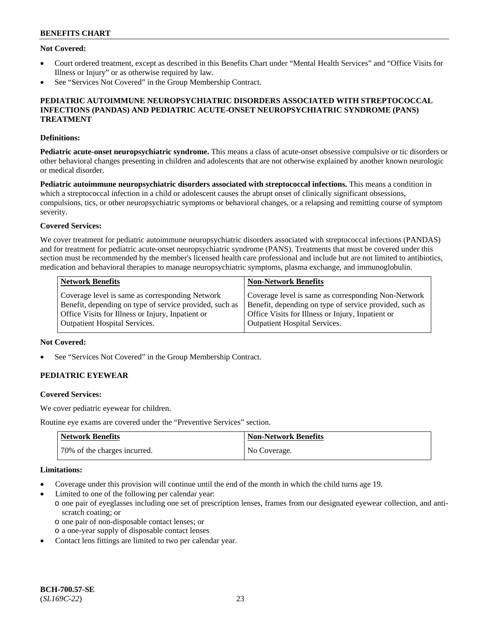### **Not Covered:**

- Court ordered treatment, except as described in this Benefits Chart under "Mental Health Services" and "Office Visits for Illness or Injury" or as otherwise required by law.
- See "Services Not Covered" in the Group Membership Contract.

### **PEDIATRIC AUTOIMMUNE NEUROPSYCHIATRIC DISORDERS ASSOCIATED WITH STREPTOCOCCAL INFECTIONS (PANDAS) AND PEDIATRIC ACUTE-ONSET NEUROPSYCHIATRIC SYNDROME (PANS) TREATMENT**

### **Definitions:**

**Pediatric acute-onset neuropsychiatric syndrome.** This means a class of acute-onset obsessive compulsive or tic disorders or other behavioral changes presenting in children and adolescents that are not otherwise explained by another known neurologic or medical disorder.

**Pediatric autoimmune neuropsychiatric disorders associated with streptococcal infections.** This means a condition in which a streptococcal infection in a child or adolescent causes the abrupt onset of clinically significant obsessions, compulsions, tics, or other neuropsychiatric symptoms or behavioral changes, or a relapsing and remitting course of symptom severity.

### **Covered Services:**

We cover treatment for pediatric autoimmune neuropsychiatric disorders associated with streptococcal infections (PANDAS) and for treatment for pediatric acute-onset neuropsychiatric syndrome (PANS). Treatments that must be covered under this section must be recommended by the member's licensed health care professional and include but are not limited to antibiotics, medication and behavioral therapies to manage neuropsychiatric symptoms, plasma exchange, and immunoglobulin.

| <b>Network Benefits</b>                                 | <b>Non-Network Benefits</b>                             |
|---------------------------------------------------------|---------------------------------------------------------|
| Coverage level is same as corresponding Network         | Coverage level is same as corresponding Non-Network     |
| Benefit, depending on type of service provided, such as | Benefit, depending on type of service provided, such as |
| Office Visits for Illness or Injury, Inpatient or       | Office Visits for Illness or Injury, Inpatient or       |
| <b>Outpatient Hospital Services.</b>                    | <b>Outpatient Hospital Services.</b>                    |

### **Not Covered:**

See "Services Not Covered" in the Group Membership Contract.

## **PEDIATRIC EYEWEAR**

#### **Covered Services:**

We cover pediatric eyewear for children.

Routine eye exams are covered under the "Preventive Services" section.

| <b>Network Benefits</b>      | <b>Non-Network Benefits</b> |
|------------------------------|-----------------------------|
| 70% of the charges incurred. | No Coverage.                |

#### **Limitations:**

- Coverage under this provision will continue until the end of the month in which the child turns age 19.
- Limited to one of the following per calendar year:
	- o one pair of eyeglasses including one set of prescription lenses, frames from our designated eyewear collection, and antiscratch coating; or
		- o one pair of non-disposable contact lenses; or
	- o a one-year supply of disposable contact lenses
- Contact lens fittings are limited to two per calendar year.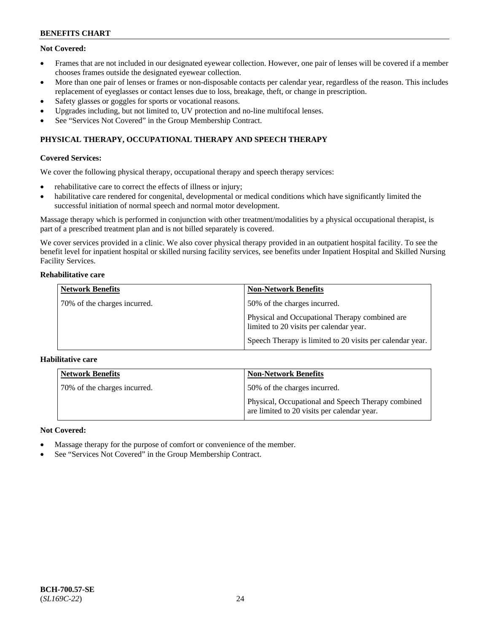## **Not Covered:**

- Frames that are not included in our designated eyewear collection. However, one pair of lenses will be covered if a member chooses frames outside the designated eyewear collection.
- More than one pair of lenses or frames or non-disposable contacts per calendar year, regardless of the reason. This includes replacement of eyeglasses or contact lenses due to loss, breakage, theft, or change in prescription.
- Safety glasses or goggles for sports or vocational reasons.
- Upgrades including, but not limited to, UV protection and no-line multifocal lenses.
- See "Services Not Covered" in the Group Membership Contract.

## **PHYSICAL THERAPY, OCCUPATIONAL THERAPY AND SPEECH THERAPY**

### **Covered Services:**

We cover the following physical therapy, occupational therapy and speech therapy services:

- rehabilitative care to correct the effects of illness or injury;
- habilitative care rendered for congenital, developmental or medical conditions which have significantly limited the successful initiation of normal speech and normal motor development.

Massage therapy which is performed in conjunction with other treatment/modalities by a physical occupational therapist, is part of a prescribed treatment plan and is not billed separately is covered.

We cover services provided in a clinic. We also cover physical therapy provided in an outpatient hospital facility. To see the benefit level for inpatient hospital or skilled nursing facility services, see benefits under Inpatient Hospital and Skilled Nursing Facility Services.

### **Rehabilitative care**

| <b>Network Benefits</b>      | <b>Non-Network Benefits</b>                                                               |
|------------------------------|-------------------------------------------------------------------------------------------|
| 70% of the charges incurred. | 50% of the charges incurred.                                                              |
|                              | Physical and Occupational Therapy combined are<br>limited to 20 visits per calendar year. |
|                              | Speech Therapy is limited to 20 visits per calendar year.                                 |

### **Habilitative care**

| <b>Network Benefits</b>      | <b>Non-Network Benefits</b>                                                                       |
|------------------------------|---------------------------------------------------------------------------------------------------|
| 70% of the charges incurred. | 50% of the charges incurred.                                                                      |
|                              | Physical, Occupational and Speech Therapy combined<br>are limited to 20 visits per calendar year. |

### **Not Covered:**

- Massage therapy for the purpose of comfort or convenience of the member.
- See "Services Not Covered" in the Group Membership Contract.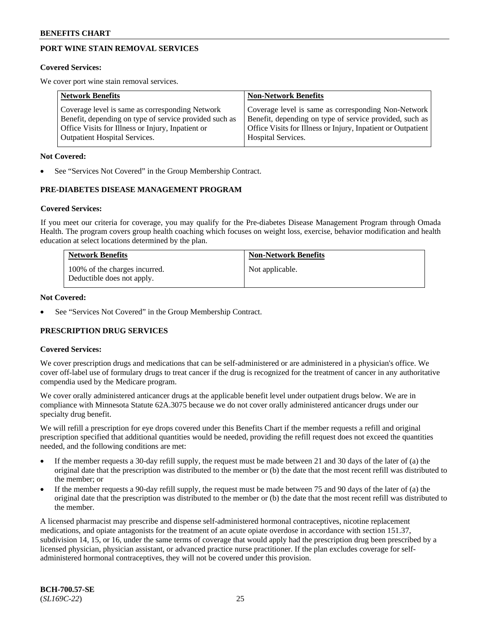## **PORT WINE STAIN REMOVAL SERVICES**

#### **Covered Services:**

We cover port wine stain removal services.

| <b>Network Benefits</b>                                | <b>Non-Network Benefits</b>                                  |
|--------------------------------------------------------|--------------------------------------------------------------|
| Coverage level is same as corresponding Network        | Coverage level is same as corresponding Non-Network          |
| Benefit, depending on type of service provided such as | Benefit, depending on type of service provided, such as      |
| Office Visits for Illness or Injury, Inpatient or      | Office Visits for Illness or Injury, Inpatient or Outpatient |
| <b>Outpatient Hospital Services.</b>                   | Hospital Services.                                           |

#### **Not Covered:**

See "Services Not Covered" in the Group Membership Contract.

### **PRE-DIABETES DISEASE MANAGEMENT PROGRAM**

#### **Covered Services:**

If you meet our criteria for coverage, you may qualify for the Pre-diabetes Disease Management Program through Omada Health. The program covers group health coaching which focuses on weight loss, exercise, behavior modification and health education at select locations determined by the plan.

| <b>Network Benefits</b>                                     | <b>Non-Network Benefits</b> |
|-------------------------------------------------------------|-----------------------------|
| 100% of the charges incurred.<br>Deductible does not apply. | Not applicable.             |

#### **Not Covered:**

See "Services Not Covered" in the Group Membership Contract.

### **PRESCRIPTION DRUG SERVICES**

### **Covered Services:**

We cover prescription drugs and medications that can be self-administered or are administered in a physician's office. We cover off-label use of formulary drugs to treat cancer if the drug is recognized for the treatment of cancer in any authoritative compendia used by the Medicare program.

We cover orally administered anticancer drugs at the applicable benefit level under outpatient drugs below. We are in compliance with Minnesota Statute 62A.3075 because we do not cover orally administered anticancer drugs under our specialty drug benefit.

We will refill a prescription for eye drops covered under this Benefits Chart if the member requests a refill and original prescription specified that additional quantities would be needed, providing the refill request does not exceed the quantities needed, and the following conditions are met:

- If the member requests a 30-day refill supply, the request must be made between 21 and 30 days of the later of (a) the original date that the prescription was distributed to the member or (b) the date that the most recent refill was distributed to the member; or
- If the member requests a 90-day refill supply, the request must be made between 75 and 90 days of the later of (a) the original date that the prescription was distributed to the member or (b) the date that the most recent refill was distributed to the member.

A licensed pharmacist may prescribe and dispense self-administered hormonal contraceptives, nicotine replacement medications, and opiate antagonists for the treatment of an acute opiate overdose in accordance with section 151.37, subdivision 14, 15, or 16, under the same terms of coverage that would apply had the prescription drug been prescribed by a licensed physician, physician assistant, or advanced practice nurse practitioner. If the plan excludes coverage for selfadministered hormonal contraceptives, they will not be covered under this provision.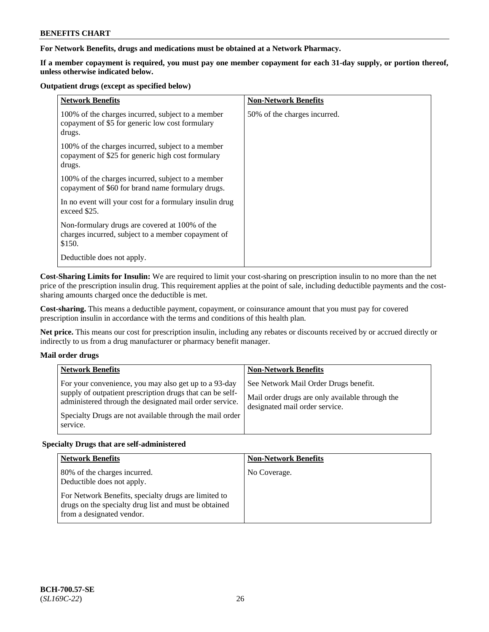### **For Network Benefits, drugs and medications must be obtained at a Network Pharmacy.**

**If a member copayment is required, you must pay one member copayment for each 31-day supply, or portion thereof, unless otherwise indicated below.**

#### **Outpatient drugs (except as specified below)**

| <b>Network Benefits</b>                                                                                          | <b>Non-Network Benefits</b>  |
|------------------------------------------------------------------------------------------------------------------|------------------------------|
| 100% of the charges incurred, subject to a member<br>copayment of \$5 for generic low cost formulary<br>drugs.   | 50% of the charges incurred. |
| 100% of the charges incurred, subject to a member<br>copayment of \$25 for generic high cost formulary<br>drugs. |                              |
| 100% of the charges incurred, subject to a member<br>copayment of \$60 for brand name formulary drugs.           |                              |
| In no event will your cost for a formulary insulin drug<br>exceed \$25.                                          |                              |
| Non-formulary drugs are covered at 100% of the<br>charges incurred, subject to a member copayment of<br>\$150.   |                              |
| Deductible does not apply.                                                                                       |                              |

**Cost-Sharing Limits for Insulin:** We are required to limit your cost-sharing on prescription insulin to no more than the net price of the prescription insulin drug. This requirement applies at the point of sale, including deductible payments and the costsharing amounts charged once the deductible is met.

**Cost-sharing.** This means a deductible payment, copayment, or coinsurance amount that you must pay for covered prescription insulin in accordance with the terms and conditions of this health plan.

**Net price.** This means our cost for prescription insulin, including any rebates or discounts received by or accrued directly or indirectly to us from a drug manufacturer or pharmacy benefit manager.

### **Mail order drugs**

| <b>Network Benefits</b>                                                                                                                                                                                                                               | <b>Non-Network Benefits</b>                                                                                                |
|-------------------------------------------------------------------------------------------------------------------------------------------------------------------------------------------------------------------------------------------------------|----------------------------------------------------------------------------------------------------------------------------|
| For your convenience, you may also get up to a 93-day<br>supply of outpatient prescription drugs that can be self-<br>administered through the designated mail order service.<br>Specialty Drugs are not available through the mail order<br>service. | See Network Mail Order Drugs benefit.<br>Mail order drugs are only available through the<br>designated mail order service. |

### **Specialty Drugs that are self-administered**

| <b>Network Benefits</b>                                                                                                                    | <b>Non-Network Benefits</b> |
|--------------------------------------------------------------------------------------------------------------------------------------------|-----------------------------|
| 80% of the charges incurred.<br>Deductible does not apply.                                                                                 | No Coverage.                |
| For Network Benefits, specialty drugs are limited to<br>drugs on the specialty drug list and must be obtained<br>from a designated vendor. |                             |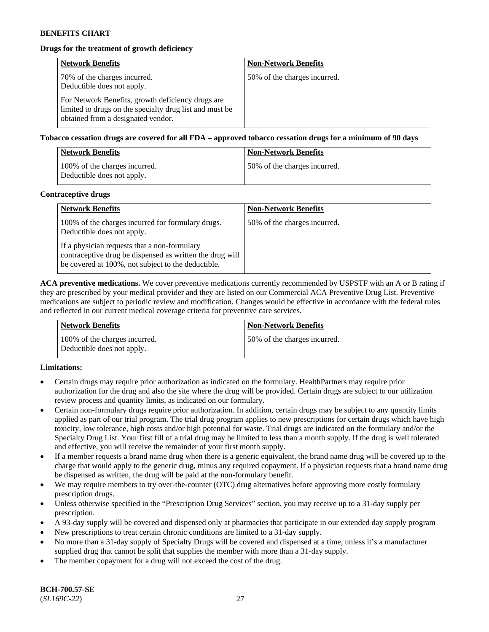## **Drugs for the treatment of growth deficiency**

| <b>Network Benefits</b>                                                                                                                            | <b>Non-Network Benefits</b>  |
|----------------------------------------------------------------------------------------------------------------------------------------------------|------------------------------|
| 70% of the charges incurred.<br>Deductible does not apply.                                                                                         | 50% of the charges incurred. |
| For Network Benefits, growth deficiency drugs are<br>limited to drugs on the specialty drug list and must be<br>obtained from a designated vendor. |                              |

**Tobacco cessation drugs are covered for all FDA – approved tobacco cessation drugs for a minimum of 90 days**

| <b>Network Benefits</b>                                     | <b>Non-Network Benefits</b>  |
|-------------------------------------------------------------|------------------------------|
| 100% of the charges incurred.<br>Deductible does not apply. | 50% of the charges incurred. |

#### **Contraceptive drugs**

| <b>Network Benefits</b>                                                                                                                                        | <b>Non-Network Benefits</b>  |
|----------------------------------------------------------------------------------------------------------------------------------------------------------------|------------------------------|
| 100% of the charges incurred for formulary drugs.<br>Deductible does not apply.                                                                                | 50% of the charges incurred. |
| If a physician requests that a non-formulary<br>contraceptive drug be dispensed as written the drug will<br>be covered at 100%, not subject to the deductible. |                              |

**ACA preventive medications.** We cover preventive medications currently recommended by USPSTF with an A or B rating if they are prescribed by your medical provider and they are listed on our Commercial ACA Preventive Drug List. Preventive medications are subject to periodic review and modification. Changes would be effective in accordance with the federal rules and reflected in our current medical coverage criteria for preventive care services.

| Network Benefits                                            | <b>Non-Network Benefits</b>  |
|-------------------------------------------------------------|------------------------------|
| 100% of the charges incurred.<br>Deductible does not apply. | 50% of the charges incurred. |

### **Limitations:**

- Certain drugs may require prior authorization as indicated on the formulary. HealthPartners may require prior authorization for the drug and also the site where the drug will be provided. Certain drugs are subject to our utilization review process and quantity limits, as indicated on our formulary.
- Certain non-formulary drugs require prior authorization. In addition, certain drugs may be subject to any quantity limits applied as part of our trial program. The trial drug program applies to new prescriptions for certain drugs which have high toxicity, low tolerance, high costs and/or high potential for waste. Trial drugs are indicated on the formulary and/or the Specialty Drug List. Your first fill of a trial drug may be limited to less than a month supply. If the drug is well tolerated and effective, you will receive the remainder of your first month supply.
- If a member requests a brand name drug when there is a generic equivalent, the brand name drug will be covered up to the charge that would apply to the generic drug, minus any required copayment. If a physician requests that a brand name drug be dispensed as written, the drug will be paid at the non-formulary benefit.
- We may require members to try over-the-counter (OTC) drug alternatives before approving more costly formulary prescription drugs.
- Unless otherwise specified in the "Prescription Drug Services" section, you may receive up to a 31-day supply per prescription.
- A 93-day supply will be covered and dispensed only at pharmacies that participate in our extended day supply program
- New prescriptions to treat certain chronic conditions are limited to a 31-day supply.
- No more than a 31-day supply of Specialty Drugs will be covered and dispensed at a time, unless it's a manufacturer supplied drug that cannot be split that supplies the member with more than a 31-day supply.
- The member copayment for a drug will not exceed the cost of the drug.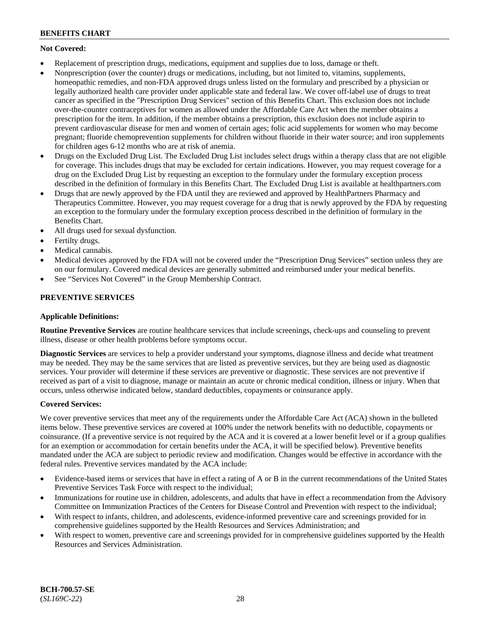## **Not Covered:**

- Replacement of prescription drugs, medications, equipment and supplies due to loss, damage or theft.
- Nonprescription (over the counter) drugs or medications, including, but not limited to, vitamins, supplements, homeopathic remedies, and non-FDA approved drugs unless listed on the formulary and prescribed by a physician or legally authorized health care provider under applicable state and federal law. We cover off-label use of drugs to treat cancer as specified in the "Prescription Drug Services" section of this Benefits Chart. This exclusion does not include over-the-counter contraceptives for women as allowed under the Affordable Care Act when the member obtains a prescription for the item. In addition, if the member obtains a prescription, this exclusion does not include aspirin to prevent cardiovascular disease for men and women of certain ages; folic acid supplements for women who may become pregnant; fluoride chemoprevention supplements for children without fluoride in their water source; and iron supplements for children ages 6-12 months who are at risk of anemia.
- Drugs on the Excluded Drug List. The Excluded Drug List includes select drugs within a therapy class that are not eligible for coverage. This includes drugs that may be excluded for certain indications. However, you may request coverage for a drug on the Excluded Drug List by requesting an exception to the formulary under the formulary exception process described in the definition of formulary in this Benefits Chart. The Excluded Drug List is available at [healthpartners.com](http://www.healthpartners.com/)
- Drugs that are newly approved by the FDA until they are reviewed and approved by HealthPartners Pharmacy and Therapeutics Committee. However, you may request coverage for a drug that is newly approved by the FDA by requesting an exception to the formulary under the formulary exception process described in the definition of formulary in the Benefits Chart.
- All drugs used for sexual dysfunction.
- Fertilty drugs.
- Medical cannabis.
- Medical devices approved by the FDA will not be covered under the "Prescription Drug Services" section unless they are on our formulary. Covered medical devices are generally submitted and reimbursed under your medical benefits.
- See "Services Not Covered" in the Group Membership Contract.

## **PREVENTIVE SERVICES**

### **Applicable Definitions:**

**Routine Preventive Services** are routine healthcare services that include screenings, check-ups and counseling to prevent illness, disease or other health problems before symptoms occur.

**Diagnostic Services** are services to help a provider understand your symptoms, diagnose illness and decide what treatment may be needed. They may be the same services that are listed as preventive services, but they are being used as diagnostic services. Your provider will determine if these services are preventive or diagnostic. These services are not preventive if received as part of a visit to diagnose, manage or maintain an acute or chronic medical condition, illness or injury. When that occurs, unless otherwise indicated below, standard deductibles, copayments or coinsurance apply.

### **Covered Services:**

We cover preventive services that meet any of the requirements under the Affordable Care Act (ACA) shown in the bulleted items below. These preventive services are covered at 100% under the network benefits with no deductible, copayments or coinsurance. (If a preventive service is not required by the ACA and it is covered at a lower benefit level or if a group qualifies for an exemption or accommodation for certain benefits under the ACA, it will be specified below). Preventive benefits mandated under the ACA are subject to periodic review and modification. Changes would be effective in accordance with the federal rules. Preventive services mandated by the ACA include:

- Evidence-based items or services that have in effect a rating of A or B in the current recommendations of the United States Preventive Services Task Force with respect to the individual;
- Immunizations for routine use in children, adolescents, and adults that have in effect a recommendation from the Advisory Committee on Immunization Practices of the Centers for Disease Control and Prevention with respect to the individual;
- With respect to infants, children, and adolescents, evidence-informed preventive care and screenings provided for in comprehensive guidelines supported by the Health Resources and Services Administration; and
- With respect to women, preventive care and screenings provided for in comprehensive guidelines supported by the Health Resources and Services Administration.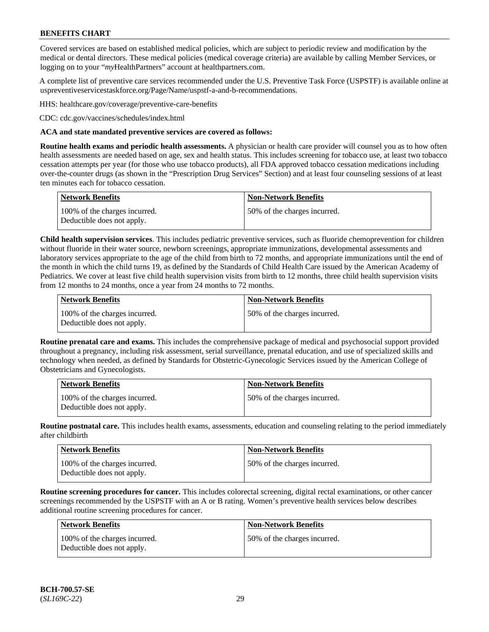Covered services are based on established medical policies, which are subject to periodic review and modification by the medical or dental directors. These medical policies (medical coverage criteria) are available by calling Member Services, or logging on to your "*my*HealthPartners" account at [healthpartners.com.](http://www.healthpartners.com/)

A complete list of preventive care services recommended under the U.S. Preventive Task Force (USPSTF) is available online at [uspreventiveservicestaskforce.org/Page/Name/uspstf-a-and-b-recommendations.](https://www.uspreventiveservicestaskforce.org/Page/Name/uspstf-a-and-b-recommendations-by-date/)

HHS: [healthcare.gov/coverage/preventive-care-benefits](https://www.healthcare.gov/coverage/preventive-care-benefits/)

CDC: [cdc.gov/vaccines/schedules/index.html](https://www.cdc.gov/vaccines/schedules/index.html)

### **ACA and state mandated preventive services are covered as follows:**

**Routine health exams and periodic health assessments.** A physician or health care provider will counsel you as to how often health assessments are needed based on age, sex and health status. This includes screening for tobacco use, at least two tobacco cessation attempts per year (for those who use tobacco products), all FDA approved tobacco cessation medications including over-the-counter drugs (as shown in the "Prescription Drug Services" Section) and at least four counseling sessions of at least ten minutes each for tobacco cessation.

| Network Benefits                                            | <b>Non-Network Benefits</b>  |
|-------------------------------------------------------------|------------------------------|
| 100% of the charges incurred.<br>Deductible does not apply. | 50% of the charges incurred. |

**Child health supervision services**. This includes pediatric preventive services, such as fluoride chemoprevention for children without fluoride in their water source, newborn screenings, appropriate immunizations, developmental assessments and laboratory services appropriate to the age of the child from birth to 72 months, and appropriate immunizations until the end of the month in which the child turns 19, as defined by the Standards of Child Health Care issued by the American Academy of Pediatrics. We cover at least five child health supervision visits from birth to 12 months, three child health supervision visits from 12 months to 24 months, once a year from 24 months to 72 months.

| Network Benefits                                            | <b>Non-Network Benefits</b>  |
|-------------------------------------------------------------|------------------------------|
| 100% of the charges incurred.<br>Deductible does not apply. | 50% of the charges incurred. |

**Routine prenatal care and exams.** This includes the comprehensive package of medical and psychosocial support provided throughout a pregnancy, including risk assessment, serial surveillance, prenatal education, and use of specialized skills and technology when needed, as defined by Standards for Obstetric-Gynecologic Services issued by the American College of Obstetricians and Gynecologists.

| <b>Network Benefits</b>                                     | <b>Non-Network Benefits</b>   |
|-------------------------------------------------------------|-------------------------------|
| 100% of the charges incurred.<br>Deductible does not apply. | 150% of the charges incurred. |

**Routine postnatal care.** This includes health exams, assessments, education and counseling relating to the period immediately after childbirth

| <b>Network Benefits</b>                                     | <b>Non-Network Benefits</b>  |
|-------------------------------------------------------------|------------------------------|
| 100% of the charges incurred.<br>Deductible does not apply. | 50% of the charges incurred. |

**Routine screening procedures for cancer.** This includes colorectal screening, digital rectal examinations, or other cancer screenings recommended by the USPSTF with an A or B rating. Women's preventive health services below describes additional routine screening procedures for cancer.

| <b>Network Benefits</b>                                     | <b>Non-Network Benefits</b>  |
|-------------------------------------------------------------|------------------------------|
| 100% of the charges incurred.<br>Deductible does not apply. | 50% of the charges incurred. |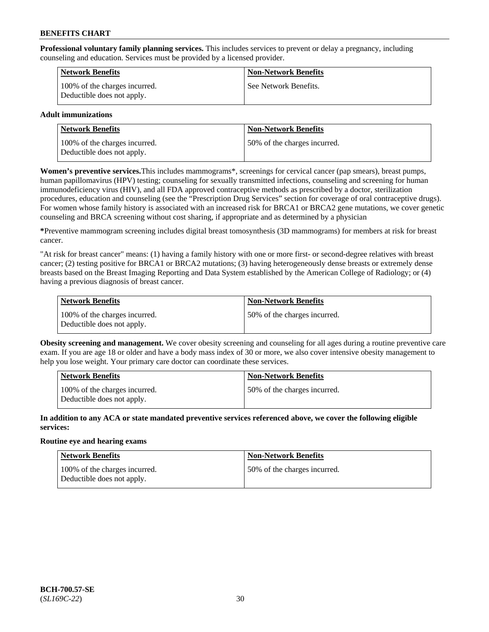**Professional voluntary family planning services.** This includes services to prevent or delay a pregnancy, including counseling and education. Services must be provided by a licensed provider.

| <b>Network Benefits</b>                                     | <b>Non-Network Benefits</b> |
|-------------------------------------------------------------|-----------------------------|
| 100% of the charges incurred.<br>Deductible does not apply. | See Network Benefits.       |

### **Adult immunizations**

| <b>Network Benefits</b>                                     | <b>Non-Network Benefits</b>  |
|-------------------------------------------------------------|------------------------------|
| 100% of the charges incurred.<br>Deductible does not apply. | 50% of the charges incurred. |

**Women's preventive services.**This includes mammograms\*, screenings for cervical cancer (pap smears), breast pumps, human papillomavirus (HPV) testing; counseling for sexually transmitted infections, counseling and screening for human immunodeficiency virus (HIV), and all FDA approved contraceptive methods as prescribed by a doctor, sterilization procedures, education and counseling (see the "Prescription Drug Services" section for coverage of oral contraceptive drugs). For women whose family history is associated with an increased risk for BRCA1 or BRCA2 gene mutations, we cover genetic counseling and BRCA screening without cost sharing, if appropriate and as determined by a physician

**\***Preventive mammogram screening includes digital breast tomosynthesis (3D mammograms) for members at risk for breast cancer.

"At risk for breast cancer" means: (1) having a family history with one or more first- or second-degree relatives with breast cancer; (2) testing positive for BRCA1 or BRCA2 mutations; (3) having heterogeneously dense breasts or extremely dense breasts based on the Breast Imaging Reporting and Data System established by the American College of Radiology; or (4) having a previous diagnosis of breast cancer.

| Network Benefits                                            | <b>Non-Network Benefits</b>  |
|-------------------------------------------------------------|------------------------------|
| 100% of the charges incurred.<br>Deductible does not apply. | 50% of the charges incurred. |

**Obesity screening and management.** We cover obesity screening and counseling for all ages during a routine preventive care exam. If you are age 18 or older and have a body mass index of 30 or more, we also cover intensive obesity management to help you lose weight. Your primary care doctor can coordinate these services.

| <b>Network Benefits</b>                                     | <b>Non-Network Benefits</b>   |
|-------------------------------------------------------------|-------------------------------|
| 100% of the charges incurred.<br>Deductible does not apply. | 150% of the charges incurred. |

**In addition to any ACA or state mandated preventive services referenced above, we cover the following eligible services:**

#### **Routine eye and hearing exams**

| Network Benefits                                            | <b>Non-Network Benefits</b>  |
|-------------------------------------------------------------|------------------------------|
| 100% of the charges incurred.<br>Deductible does not apply. | 50% of the charges incurred. |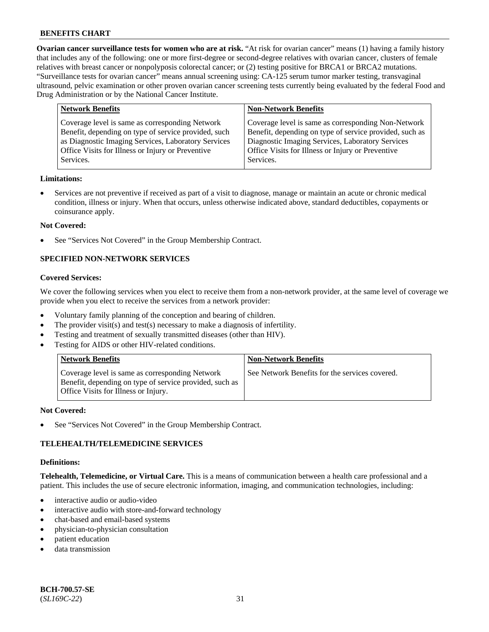**Ovarian cancer surveillance tests for women who are at risk.** "At risk for ovarian cancer" means (1) having a family history that includes any of the following: one or more first-degree or second-degree relatives with ovarian cancer, clusters of female relatives with breast cancer or nonpolyposis colorectal cancer; or (2) testing positive for BRCA1 or BRCA2 mutations. "Surveillance tests for ovarian cancer" means annual screening using: CA-125 serum tumor marker testing, transvaginal ultrasound, pelvic examination or other proven ovarian cancer screening tests currently being evaluated by the federal Food and Drug Administration or by the National Cancer Institute.

| <b>Network Benefits</b>                                                                                                                                                                                                          | <b>Non-Network Benefits</b>                                                                                                                                                                                                          |
|----------------------------------------------------------------------------------------------------------------------------------------------------------------------------------------------------------------------------------|--------------------------------------------------------------------------------------------------------------------------------------------------------------------------------------------------------------------------------------|
| Coverage level is same as corresponding Network<br>Benefit, depending on type of service provided, such<br>as Diagnostic Imaging Services, Laboratory Services<br>Office Visits for Illness or Injury or Preventive<br>Services. | Coverage level is same as corresponding Non-Network<br>Benefit, depending on type of service provided, such as<br>Diagnostic Imaging Services, Laboratory Services<br>Office Visits for Illness or Injury or Preventive<br>Services. |
|                                                                                                                                                                                                                                  |                                                                                                                                                                                                                                      |

#### **Limitations:**

• Services are not preventive if received as part of a visit to diagnose, manage or maintain an acute or chronic medical condition, illness or injury. When that occurs, unless otherwise indicated above, standard deductibles, copayments or coinsurance apply.

#### **Not Covered:**

See "Services Not Covered" in the Group Membership Contract.

## **SPECIFIED NON-NETWORK SERVICES**

### **Covered Services:**

We cover the following services when you elect to receive them from a non-network provider, at the same level of coverage we provide when you elect to receive the services from a network provider:

- Voluntary family planning of the conception and bearing of children.
- The provider visit(s) and test(s) necessary to make a diagnosis of infertility.
- Testing and treatment of sexually transmitted diseases (other than HIV).
- Testing for AIDS or other HIV-related conditions.

| <b>Network Benefits</b>                                                                                                                            | <b>Non-Network Benefits</b>                    |
|----------------------------------------------------------------------------------------------------------------------------------------------------|------------------------------------------------|
| Coverage level is same as corresponding Network<br>Benefit, depending on type of service provided, such as<br>Office Visits for Illness or Injury. | See Network Benefits for the services covered. |

#### **Not Covered:**

See "Services Not Covered" in the Group Membership Contract.

### **TELEHEALTH/TELEMEDICINE SERVICES**

#### **Definitions:**

**Telehealth, Telemedicine, or Virtual Care.** This is a means of communication between a health care professional and a patient. This includes the use of secure electronic information, imaging, and communication technologies, including:

- interactive audio or audio-video
- interactive audio with store-and-forward technology
- chat-based and email-based systems
- physician-to-physician consultation
- patient education
- data transmission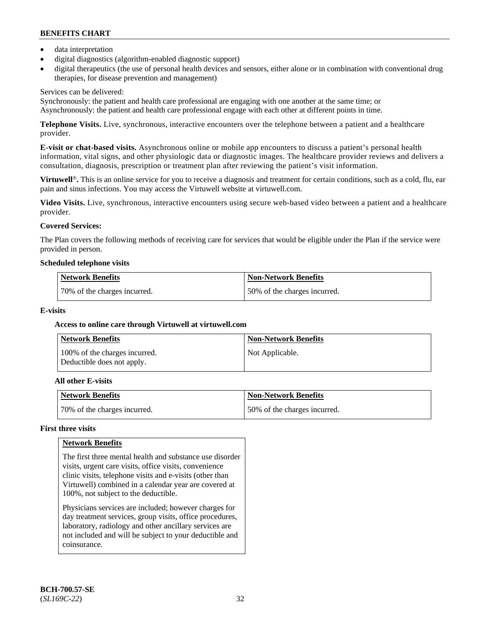- data interpretation
- digital diagnostics (algorithm-enabled diagnostic support)
- digital therapeutics (the use of personal health devices and sensors, either alone or in combination with conventional drug therapies, for disease prevention and management)

### Services can be delivered:

Synchronously: the patient and health care professional are engaging with one another at the same time; or Asynchronously: the patient and health care professional engage with each other at different points in time.

**Telephone Visits.** Live, synchronous, interactive encounters over the telephone between a patient and a healthcare provider.

**E-visit or chat-based visits.** Asynchronous online or mobile app encounters to discuss a patient's personal health information, vital signs, and other physiologic data or diagnostic images. The healthcare provider reviews and delivers a consultation, diagnosis, prescription or treatment plan after reviewing the patient's visit information.

**Virtuwell<sup>®</sup>**. This is an online service for you to receive a diagnosis and treatment for certain conditions, such as a cold, flu, ear pain and sinus infections. You may access the Virtuwell website at [virtuwell.com.](https://www.virtuwell.com/)

**Video Visits.** Live, synchronous, interactive encounters using secure web-based video between a patient and a healthcare provider.

## **Covered Services:**

The Plan covers the following methods of receiving care for services that would be eligible under the Plan if the service were provided in person.

#### **Scheduled telephone visits**

| <b>Network Benefits</b>      | Non-Network Benefits         |
|------------------------------|------------------------------|
| 70% of the charges incurred. | 50% of the charges incurred. |

### **E-visits**

### **Access to online care through Virtuwell at [virtuwell.com](https://www.virtuwell.com/)**

| <b>Network Benefits</b>                                     | <b>Non-Network Benefits</b> |
|-------------------------------------------------------------|-----------------------------|
| 100% of the charges incurred.<br>Deductible does not apply. | Not Applicable.             |

### **All other E-visits**

| Network Benefits             | <b>Non-Network Benefits</b>  |
|------------------------------|------------------------------|
| 70% of the charges incurred. | 50% of the charges incurred. |

### **First three visits**

### **Network Benefits**

The first three mental health and substance use disorder visits, urgent care visits, office visits, convenience clinic visits, telephone visits and e-visits (other than Virtuwell) combined in a calendar year are covered at 100%, not subject to the deductible.

Physicians services are included; however charges for day treatment services, group visits, office procedures, laboratory, radiology and other ancillary services are not included and will be subject to your deductible and coinsurance.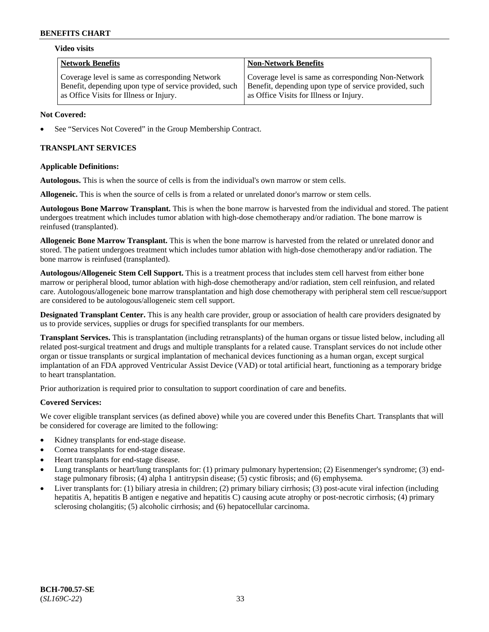#### **Video visits**

| <b>Network Benefits</b>                                | <b>Non-Network Benefits</b>                            |
|--------------------------------------------------------|--------------------------------------------------------|
| Coverage level is same as corresponding Network        | Coverage level is same as corresponding Non-Network    |
| Benefit, depending upon type of service provided, such | Benefit, depending upon type of service provided, such |
| as Office Visits for Illness or Injury.                | as Office Visits for Illness or Injury.                |

### **Not Covered:**

See "Services Not Covered" in the Group Membership Contract.

## **TRANSPLANT SERVICES**

### **Applicable Definitions:**

**Autologous.** This is when the source of cells is from the individual's own marrow or stem cells.

**Allogeneic.** This is when the source of cells is from a related or unrelated donor's marrow or stem cells.

**Autologous Bone Marrow Transplant.** This is when the bone marrow is harvested from the individual and stored. The patient undergoes treatment which includes tumor ablation with high-dose chemotherapy and/or radiation. The bone marrow is reinfused (transplanted).

**Allogeneic Bone Marrow Transplant.** This is when the bone marrow is harvested from the related or unrelated donor and stored. The patient undergoes treatment which includes tumor ablation with high-dose chemotherapy and/or radiation. The bone marrow is reinfused (transplanted).

**Autologous/Allogeneic Stem Cell Support.** This is a treatment process that includes stem cell harvest from either bone marrow or peripheral blood, tumor ablation with high-dose chemotherapy and/or radiation, stem cell reinfusion, and related care. Autologous/allogeneic bone marrow transplantation and high dose chemotherapy with peripheral stem cell rescue/support are considered to be autologous/allogeneic stem cell support.

**Designated Transplant Center.** This is any health care provider, group or association of health care providers designated by us to provide services, supplies or drugs for specified transplants for our members.

**Transplant Services.** This is transplantation (including retransplants) of the human organs or tissue listed below, including all related post-surgical treatment and drugs and multiple transplants for a related cause. Transplant services do not include other organ or tissue transplants or surgical implantation of mechanical devices functioning as a human organ, except surgical implantation of an FDA approved Ventricular Assist Device (VAD) or total artificial heart, functioning as a temporary bridge to heart transplantation.

Prior authorization is required prior to consultation to support coordination of care and benefits.

### **Covered Services:**

We cover eligible transplant services (as defined above) while you are covered under this Benefits Chart. Transplants that will be considered for coverage are limited to the following:

- Kidney transplants for end-stage disease.
- Cornea transplants for end-stage disease.
- Heart transplants for end-stage disease.
- Lung transplants or heart/lung transplants for: (1) primary pulmonary hypertension; (2) Eisenmenger's syndrome; (3) endstage pulmonary fibrosis; (4) alpha 1 antitrypsin disease; (5) cystic fibrosis; and (6) emphysema.
- Liver transplants for: (1) biliary atresia in children; (2) primary biliary cirrhosis; (3) post-acute viral infection (including hepatitis A, hepatitis B antigen e negative and hepatitis C) causing acute atrophy or post-necrotic cirrhosis; (4) primary sclerosing cholangitis; (5) alcoholic cirrhosis; and (6) hepatocellular carcinoma.